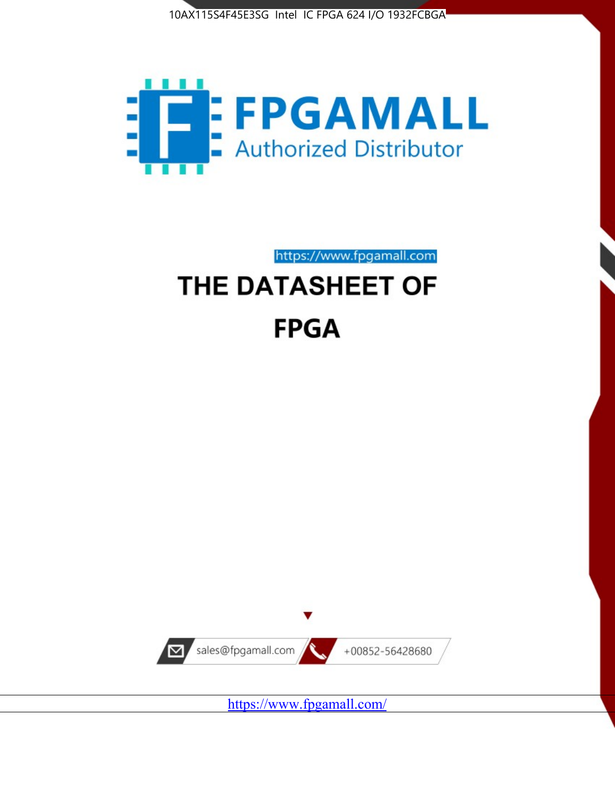



https://www.fpgamall.com THE DATASHEET OF

# **FPGA**



<https://www.fpgamall.com/>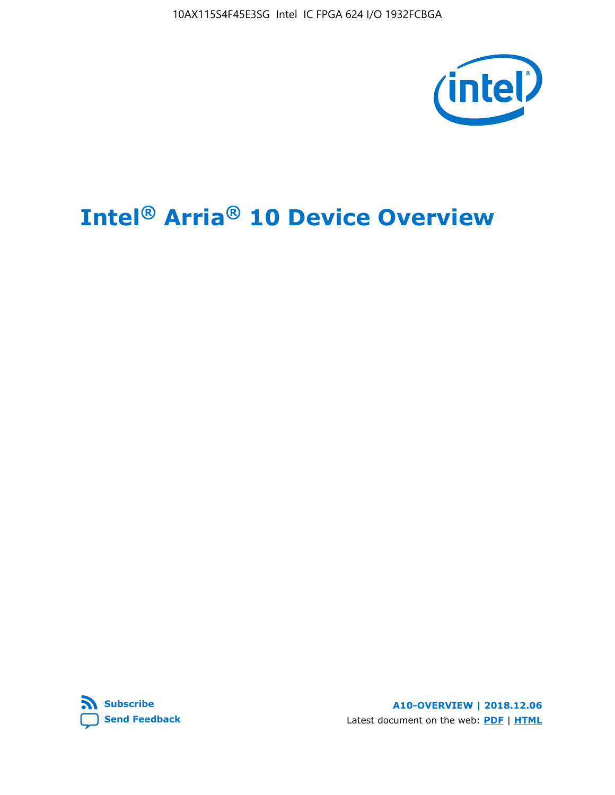10AX115S4F45E3SG Intel IC FPGA 624 I/O 1932FCBGA



# **Intel® Arria® 10 Device Overview**



**A10-OVERVIEW | 2018.12.06** Latest document on the web: **[PDF](https://www.intel.com/content/dam/www/programmable/us/en/pdfs/literature/hb/arria-10/a10_overview.pdf)** | **[HTML](https://www.intel.com/content/www/us/en/programmable/documentation/sam1403480274650.html)**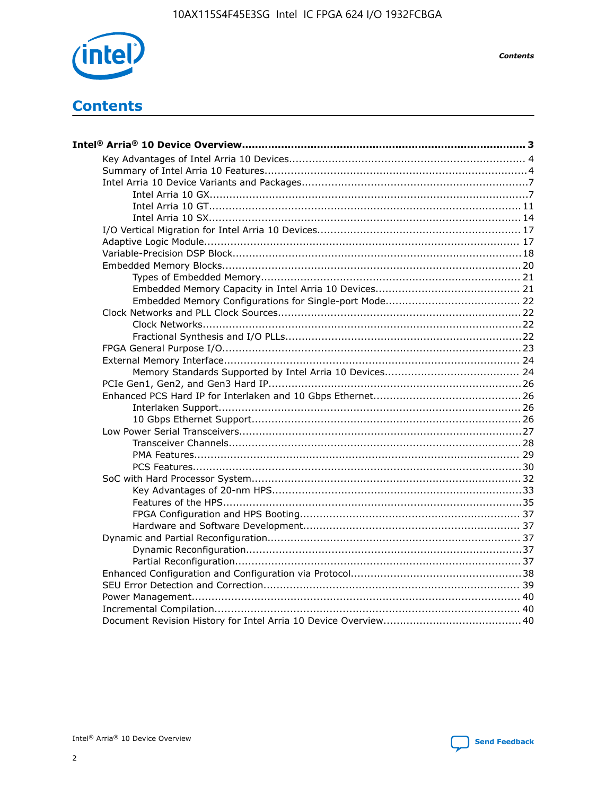

**Contents** 

## **Contents**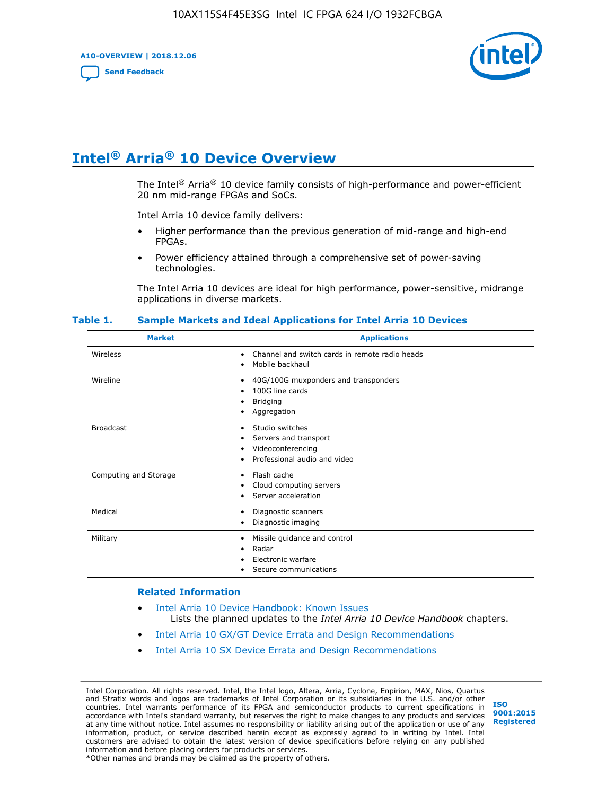**A10-OVERVIEW | 2018.12.06**

**[Send Feedback](mailto:FPGAtechdocfeedback@intel.com?subject=Feedback%20on%20Intel%20Arria%2010%20Device%20Overview%20(A10-OVERVIEW%202018.12.06)&body=We%20appreciate%20your%20feedback.%20In%20your%20comments,%20also%20specify%20the%20page%20number%20or%20paragraph.%20Thank%20you.)**



## **Intel® Arria® 10 Device Overview**

The Intel<sup>®</sup> Arria<sup>®</sup> 10 device family consists of high-performance and power-efficient 20 nm mid-range FPGAs and SoCs.

Intel Arria 10 device family delivers:

- Higher performance than the previous generation of mid-range and high-end FPGAs.
- Power efficiency attained through a comprehensive set of power-saving technologies.

The Intel Arria 10 devices are ideal for high performance, power-sensitive, midrange applications in diverse markets.

| <b>Market</b>         | <b>Applications</b>                                                                                               |
|-----------------------|-------------------------------------------------------------------------------------------------------------------|
| Wireless              | Channel and switch cards in remote radio heads<br>٠<br>Mobile backhaul<br>٠                                       |
| Wireline              | 40G/100G muxponders and transponders<br>٠<br>100G line cards<br>٠<br><b>Bridging</b><br>٠<br>Aggregation<br>٠     |
| <b>Broadcast</b>      | Studio switches<br>٠<br>Servers and transport<br>٠<br>Videoconferencing<br>٠<br>Professional audio and video<br>٠ |
| Computing and Storage | Flash cache<br>٠<br>Cloud computing servers<br>٠<br>Server acceleration<br>٠                                      |
| Medical               | Diagnostic scanners<br>٠<br>Diagnostic imaging<br>٠                                                               |
| Military              | Missile guidance and control<br>٠<br>Radar<br>٠<br>Electronic warfare<br>٠<br>Secure communications<br>٠          |

#### **Table 1. Sample Markets and Ideal Applications for Intel Arria 10 Devices**

#### **Related Information**

- [Intel Arria 10 Device Handbook: Known Issues](http://www.altera.com/support/kdb/solutions/rd07302013_646.html) Lists the planned updates to the *Intel Arria 10 Device Handbook* chapters.
- [Intel Arria 10 GX/GT Device Errata and Design Recommendations](https://www.intel.com/content/www/us/en/programmable/documentation/agz1493851706374.html#yqz1494433888646)
- [Intel Arria 10 SX Device Errata and Design Recommendations](https://www.intel.com/content/www/us/en/programmable/documentation/cru1462832385668.html#cru1462832558642)

Intel Corporation. All rights reserved. Intel, the Intel logo, Altera, Arria, Cyclone, Enpirion, MAX, Nios, Quartus and Stratix words and logos are trademarks of Intel Corporation or its subsidiaries in the U.S. and/or other countries. Intel warrants performance of its FPGA and semiconductor products to current specifications in accordance with Intel's standard warranty, but reserves the right to make changes to any products and services at any time without notice. Intel assumes no responsibility or liability arising out of the application or use of any information, product, or service described herein except as expressly agreed to in writing by Intel. Intel customers are advised to obtain the latest version of device specifications before relying on any published information and before placing orders for products or services. \*Other names and brands may be claimed as the property of others.

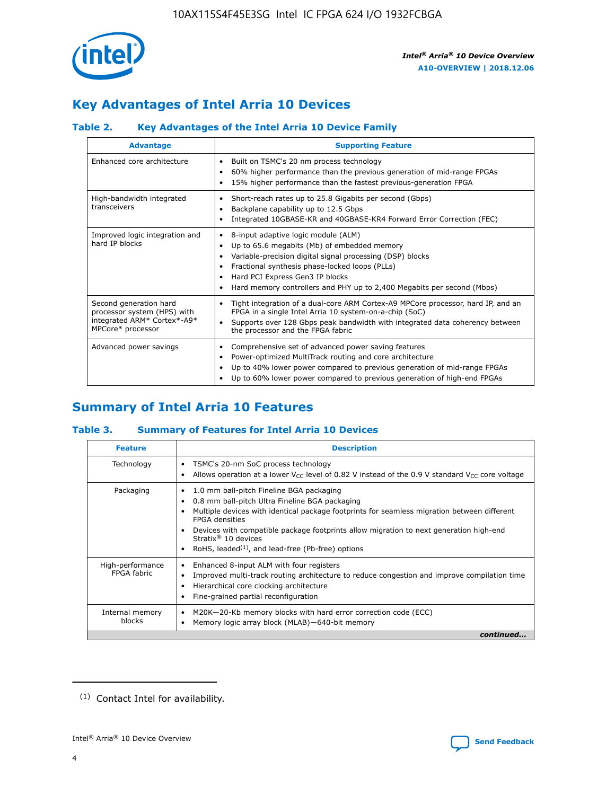

## **Key Advantages of Intel Arria 10 Devices**

#### **Table 2. Key Advantages of the Intel Arria 10 Device Family**

| <b>Advantage</b>                                                                                          | <b>Supporting Feature</b>                                                                                                                                                                                                                                                                                                |
|-----------------------------------------------------------------------------------------------------------|--------------------------------------------------------------------------------------------------------------------------------------------------------------------------------------------------------------------------------------------------------------------------------------------------------------------------|
| Enhanced core architecture                                                                                | Built on TSMC's 20 nm process technology<br>٠<br>60% higher performance than the previous generation of mid-range FPGAs<br>٠<br>15% higher performance than the fastest previous-generation FPGA<br>٠                                                                                                                    |
| High-bandwidth integrated<br>transceivers                                                                 | Short-reach rates up to 25.8 Gigabits per second (Gbps)<br>٠<br>Backplane capability up to 12.5 Gbps<br>٠<br>Integrated 10GBASE-KR and 40GBASE-KR4 Forward Error Correction (FEC)<br>٠                                                                                                                                   |
| Improved logic integration and<br>hard IP blocks                                                          | 8-input adaptive logic module (ALM)<br>٠<br>Up to 65.6 megabits (Mb) of embedded memory<br>٠<br>Variable-precision digital signal processing (DSP) blocks<br>Fractional synthesis phase-locked loops (PLLs)<br>Hard PCI Express Gen3 IP blocks<br>Hard memory controllers and PHY up to 2,400 Megabits per second (Mbps) |
| Second generation hard<br>processor system (HPS) with<br>integrated ARM* Cortex*-A9*<br>MPCore* processor | Tight integration of a dual-core ARM Cortex-A9 MPCore processor, hard IP, and an<br>٠<br>FPGA in a single Intel Arria 10 system-on-a-chip (SoC)<br>Supports over 128 Gbps peak bandwidth with integrated data coherency between<br>$\bullet$<br>the processor and the FPGA fabric                                        |
| Advanced power savings                                                                                    | Comprehensive set of advanced power saving features<br>٠<br>Power-optimized MultiTrack routing and core architecture<br>٠<br>Up to 40% lower power compared to previous generation of mid-range FPGAs<br>Up to 60% lower power compared to previous generation of high-end FPGAs                                         |

## **Summary of Intel Arria 10 Features**

#### **Table 3. Summary of Features for Intel Arria 10 Devices**

| <b>Feature</b>                  | <b>Description</b>                                                                                                                                                                                                                                                                                                                                                                                 |
|---------------------------------|----------------------------------------------------------------------------------------------------------------------------------------------------------------------------------------------------------------------------------------------------------------------------------------------------------------------------------------------------------------------------------------------------|
| Technology                      | TSMC's 20-nm SoC process technology<br>Allows operation at a lower $V_{\text{CC}}$ level of 0.82 V instead of the 0.9 V standard $V_{\text{CC}}$ core voltage                                                                                                                                                                                                                                      |
| Packaging                       | 1.0 mm ball-pitch Fineline BGA packaging<br>٠<br>0.8 mm ball-pitch Ultra Fineline BGA packaging<br>Multiple devices with identical package footprints for seamless migration between different<br><b>FPGA</b> densities<br>Devices with compatible package footprints allow migration to next generation high-end<br>Stratix $@10$ devices<br>RoHS, leaded $(1)$ , and lead-free (Pb-free) options |
| High-performance<br>FPGA fabric | Enhanced 8-input ALM with four registers<br>Improved multi-track routing architecture to reduce congestion and improve compilation time<br>Hierarchical core clocking architecture<br>Fine-grained partial reconfiguration                                                                                                                                                                         |
| Internal memory<br>blocks       | M20K-20-Kb memory blocks with hard error correction code (ECC)<br>Memory logic array block (MLAB)-640-bit memory                                                                                                                                                                                                                                                                                   |
|                                 | continued                                                                                                                                                                                                                                                                                                                                                                                          |



<sup>(1)</sup> Contact Intel for availability.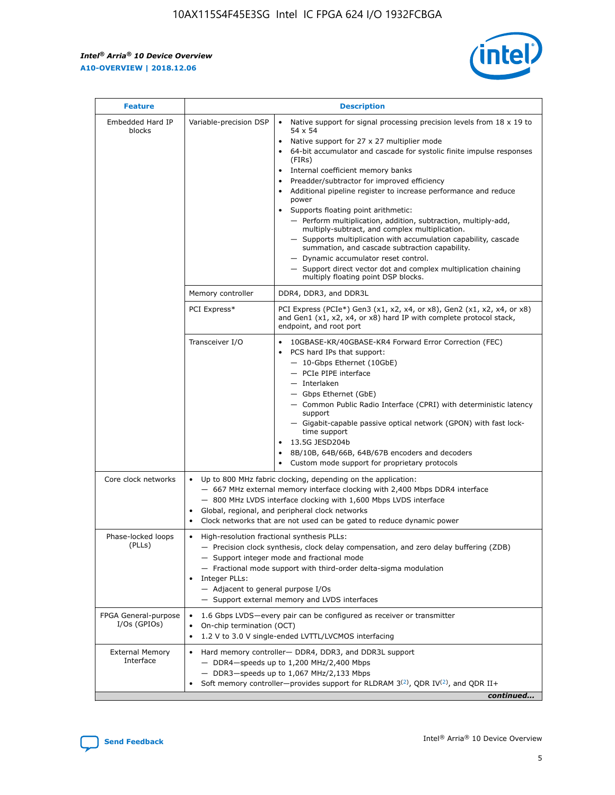r



| <b>Feature</b>                         |                                                                                                                | <b>Description</b>                                                                                                                                                                                                                                                                                                                                                                                                                                                                                                                                                                                                                                                                                                                                                                                                                     |  |  |  |  |  |  |  |
|----------------------------------------|----------------------------------------------------------------------------------------------------------------|----------------------------------------------------------------------------------------------------------------------------------------------------------------------------------------------------------------------------------------------------------------------------------------------------------------------------------------------------------------------------------------------------------------------------------------------------------------------------------------------------------------------------------------------------------------------------------------------------------------------------------------------------------------------------------------------------------------------------------------------------------------------------------------------------------------------------------------|--|--|--|--|--|--|--|
| Embedded Hard IP<br>blocks             | Variable-precision DSP                                                                                         | Native support for signal processing precision levels from $18 \times 19$ to<br>54 x 54<br>Native support for 27 x 27 multiplier mode<br>64-bit accumulator and cascade for systolic finite impulse responses<br>(FIRs)<br>Internal coefficient memory banks<br>$\bullet$<br>Preadder/subtractor for improved efficiency<br>Additional pipeline register to increase performance and reduce<br>power<br>Supports floating point arithmetic:<br>- Perform multiplication, addition, subtraction, multiply-add,<br>multiply-subtract, and complex multiplication.<br>- Supports multiplication with accumulation capability, cascade<br>summation, and cascade subtraction capability.<br>- Dynamic accumulator reset control.<br>- Support direct vector dot and complex multiplication chaining<br>multiply floating point DSP blocks. |  |  |  |  |  |  |  |
|                                        | Memory controller                                                                                              | DDR4, DDR3, and DDR3L                                                                                                                                                                                                                                                                                                                                                                                                                                                                                                                                                                                                                                                                                                                                                                                                                  |  |  |  |  |  |  |  |
|                                        | PCI Express*                                                                                                   | PCI Express (PCIe*) Gen3 (x1, x2, x4, or x8), Gen2 (x1, x2, x4, or x8)<br>and Gen1 (x1, x2, x4, or x8) hard IP with complete protocol stack,<br>endpoint, and root port                                                                                                                                                                                                                                                                                                                                                                                                                                                                                                                                                                                                                                                                |  |  |  |  |  |  |  |
|                                        | Transceiver I/O                                                                                                | 10GBASE-KR/40GBASE-KR4 Forward Error Correction (FEC)<br>PCS hard IPs that support:<br>$\bullet$<br>- 10-Gbps Ethernet (10GbE)<br>- PCIe PIPE interface<br>$-$ Interlaken<br>- Gbps Ethernet (GbE)<br>- Common Public Radio Interface (CPRI) with deterministic latency<br>support<br>- Gigabit-capable passive optical network (GPON) with fast lock-<br>time support<br>13.5G JESD204b<br>$\bullet$<br>8B/10B, 64B/66B, 64B/67B encoders and decoders<br>Custom mode support for proprietary protocols                                                                                                                                                                                                                                                                                                                               |  |  |  |  |  |  |  |
| Core clock networks                    | $\bullet$<br>$\bullet$                                                                                         | Up to 800 MHz fabric clocking, depending on the application:<br>- 667 MHz external memory interface clocking with 2,400 Mbps DDR4 interface<br>- 800 MHz LVDS interface clocking with 1,600 Mbps LVDS interface<br>Global, regional, and peripheral clock networks<br>Clock networks that are not used can be gated to reduce dynamic power                                                                                                                                                                                                                                                                                                                                                                                                                                                                                            |  |  |  |  |  |  |  |
| Phase-locked loops<br>(PLLs)           | High-resolution fractional synthesis PLLs:<br>$\bullet$<br>Integer PLLs:<br>- Adjacent to general purpose I/Os | - Precision clock synthesis, clock delay compensation, and zero delay buffering (ZDB)<br>- Support integer mode and fractional mode<br>- Fractional mode support with third-order delta-sigma modulation<br>- Support external memory and LVDS interfaces                                                                                                                                                                                                                                                                                                                                                                                                                                                                                                                                                                              |  |  |  |  |  |  |  |
| FPGA General-purpose<br>$I/Os$ (GPIOs) | On-chip termination (OCT)                                                                                      | 1.6 Gbps LVDS-every pair can be configured as receiver or transmitter<br>1.2 V to 3.0 V single-ended LVTTL/LVCMOS interfacing                                                                                                                                                                                                                                                                                                                                                                                                                                                                                                                                                                                                                                                                                                          |  |  |  |  |  |  |  |
| <b>External Memory</b><br>Interface    |                                                                                                                | Hard memory controller- DDR4, DDR3, and DDR3L support<br>$-$ DDR4 $-$ speeds up to 1,200 MHz/2,400 Mbps<br>- DDR3-speeds up to 1,067 MHz/2,133 Mbps<br>Soft memory controller—provides support for RLDRAM $3^{(2)}$ , QDR IV $^{(2)}$ , and QDR II+<br>continued                                                                                                                                                                                                                                                                                                                                                                                                                                                                                                                                                                       |  |  |  |  |  |  |  |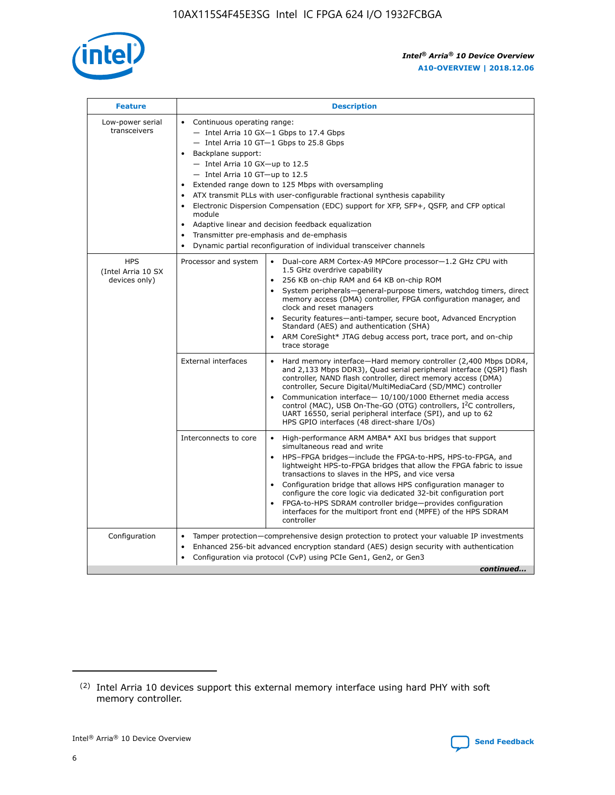

| <b>Feature</b>                                    | <b>Description</b>                                                                                                                                                                                                                                                                                                                                                                                                                                                                                                                                                                                                                             |  |  |  |  |  |  |  |
|---------------------------------------------------|------------------------------------------------------------------------------------------------------------------------------------------------------------------------------------------------------------------------------------------------------------------------------------------------------------------------------------------------------------------------------------------------------------------------------------------------------------------------------------------------------------------------------------------------------------------------------------------------------------------------------------------------|--|--|--|--|--|--|--|
| Low-power serial<br>transceivers                  | • Continuous operating range:<br>- Intel Arria 10 GX-1 Gbps to 17.4 Gbps<br>- Intel Arria 10 GT-1 Gbps to 25.8 Gbps<br>Backplane support:<br>$-$ Intel Arria 10 GX-up to 12.5<br>$-$ Intel Arria 10 GT-up to 12.5<br>Extended range down to 125 Mbps with oversampling<br>ATX transmit PLLs with user-configurable fractional synthesis capability<br>• Electronic Dispersion Compensation (EDC) support for XFP, SFP+, QSFP, and CFP optical<br>module<br>• Adaptive linear and decision feedback equalization<br>Transmitter pre-emphasis and de-emphasis<br>$\bullet$<br>Dynamic partial reconfiguration of individual transceiver channels |  |  |  |  |  |  |  |
| <b>HPS</b><br>(Intel Arria 10 SX<br>devices only) | Processor and system<br>Dual-core ARM Cortex-A9 MPCore processor-1.2 GHz CPU with<br>$\bullet$<br>1.5 GHz overdrive capability<br>256 KB on-chip RAM and 64 KB on-chip ROM<br>$\bullet$<br>System peripherals-general-purpose timers, watchdog timers, direct<br>memory access (DMA) controller, FPGA configuration manager, and<br>clock and reset managers<br>• Security features—anti-tamper, secure boot, Advanced Encryption<br>Standard (AES) and authentication (SHA)<br>ARM CoreSight* JTAG debug access port, trace port, and on-chip<br>trace storage                                                                                |  |  |  |  |  |  |  |
|                                                   | <b>External interfaces</b><br>Hard memory interface—Hard memory controller (2,400 Mbps DDR4,<br>$\bullet$<br>and 2,133 Mbps DDR3), Quad serial peripheral interface (QSPI) flash<br>controller, NAND flash controller, direct memory access (DMA)<br>controller, Secure Digital/MultiMediaCard (SD/MMC) controller<br>Communication interface-10/100/1000 Ethernet media access<br>control (MAC), USB On-The-GO (OTG) controllers, I <sup>2</sup> C controllers,<br>UART 16550, serial peripheral interface (SPI), and up to 62<br>HPS GPIO interfaces (48 direct-share I/Os)                                                                  |  |  |  |  |  |  |  |
|                                                   | High-performance ARM AMBA* AXI bus bridges that support<br>Interconnects to core<br>$\bullet$<br>simultaneous read and write<br>HPS-FPGA bridges—include the FPGA-to-HPS, HPS-to-FPGA, and<br>$\bullet$<br>lightweight HPS-to-FPGA bridges that allow the FPGA fabric to issue<br>transactions to slaves in the HPS, and vice versa<br>Configuration bridge that allows HPS configuration manager to<br>configure the core logic via dedicated 32-bit configuration port<br>FPGA-to-HPS SDRAM controller bridge-provides configuration<br>interfaces for the multiport front end (MPFE) of the HPS SDRAM<br>controller                         |  |  |  |  |  |  |  |
| Configuration                                     | Tamper protection—comprehensive design protection to protect your valuable IP investments<br>Enhanced 256-bit advanced encryption standard (AES) design security with authentication<br>$\bullet$<br>Configuration via protocol (CvP) using PCIe Gen1, Gen2, or Gen3<br>continued                                                                                                                                                                                                                                                                                                                                                              |  |  |  |  |  |  |  |

<sup>(2)</sup> Intel Arria 10 devices support this external memory interface using hard PHY with soft memory controller.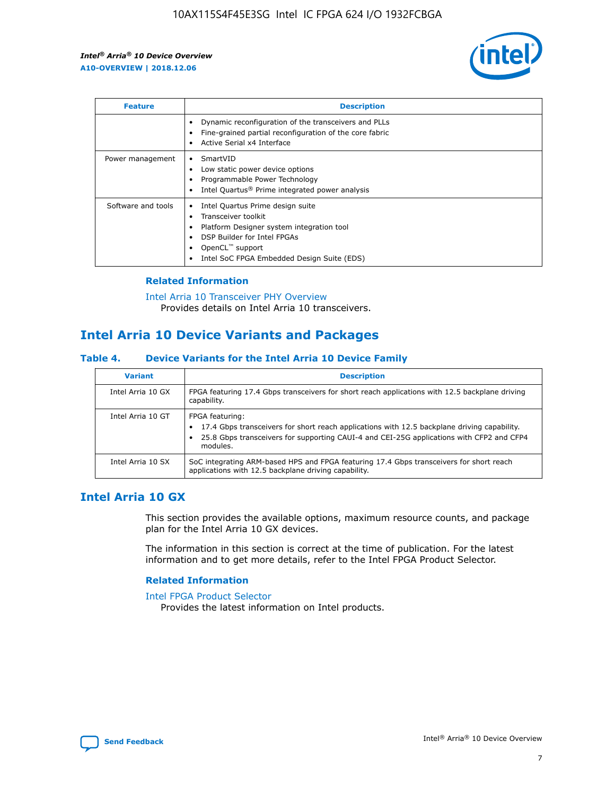

| <b>Feature</b>     | <b>Description</b>                                                                                                                                                                                               |
|--------------------|------------------------------------------------------------------------------------------------------------------------------------------------------------------------------------------------------------------|
|                    | Dynamic reconfiguration of the transceivers and PLLs<br>Fine-grained partial reconfiguration of the core fabric<br>Active Serial x4 Interface<br>$\bullet$                                                       |
| Power management   | SmartVID<br>$\bullet$<br>Low static power device options<br>Programmable Power Technology<br>Intel Quartus <sup>®</sup> Prime integrated power analysis                                                          |
| Software and tools | Intel Quartus Prime design suite<br>Transceiver toolkit<br>Platform Designer system integration tool<br>DSP Builder for Intel FPGAs<br>OpenCL <sup>"</sup> support<br>Intel SoC FPGA Embedded Design Suite (EDS) |

#### **Related Information**

[Intel Arria 10 Transceiver PHY Overview](https://www.intel.com/content/www/us/en/programmable/documentation/nik1398707230472.html#nik1398706768037) Provides details on Intel Arria 10 transceivers.

## **Intel Arria 10 Device Variants and Packages**

#### **Table 4. Device Variants for the Intel Arria 10 Device Family**

| <b>Variant</b>    | <b>Description</b>                                                                                                                                                                                                     |
|-------------------|------------------------------------------------------------------------------------------------------------------------------------------------------------------------------------------------------------------------|
| Intel Arria 10 GX | FPGA featuring 17.4 Gbps transceivers for short reach applications with 12.5 backplane driving<br>capability.                                                                                                          |
| Intel Arria 10 GT | FPGA featuring:<br>17.4 Gbps transceivers for short reach applications with 12.5 backplane driving capability.<br>25.8 Gbps transceivers for supporting CAUI-4 and CEI-25G applications with CFP2 and CFP4<br>modules. |
| Intel Arria 10 SX | SoC integrating ARM-based HPS and FPGA featuring 17.4 Gbps transceivers for short reach<br>applications with 12.5 backplane driving capability.                                                                        |

## **Intel Arria 10 GX**

This section provides the available options, maximum resource counts, and package plan for the Intel Arria 10 GX devices.

The information in this section is correct at the time of publication. For the latest information and to get more details, refer to the Intel FPGA Product Selector.

#### **Related Information**

#### [Intel FPGA Product Selector](http://www.altera.com/products/selector/psg-selector.html) Provides the latest information on Intel products.

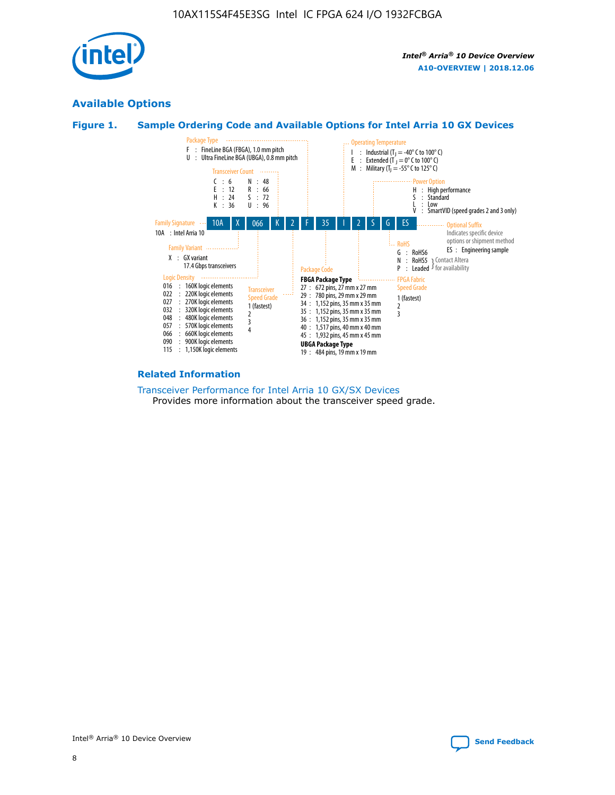

## **Available Options**





#### **Related Information**

[Transceiver Performance for Intel Arria 10 GX/SX Devices](https://www.intel.com/content/www/us/en/programmable/documentation/mcn1413182292568.html#mcn1413213965502) Provides more information about the transceiver speed grade.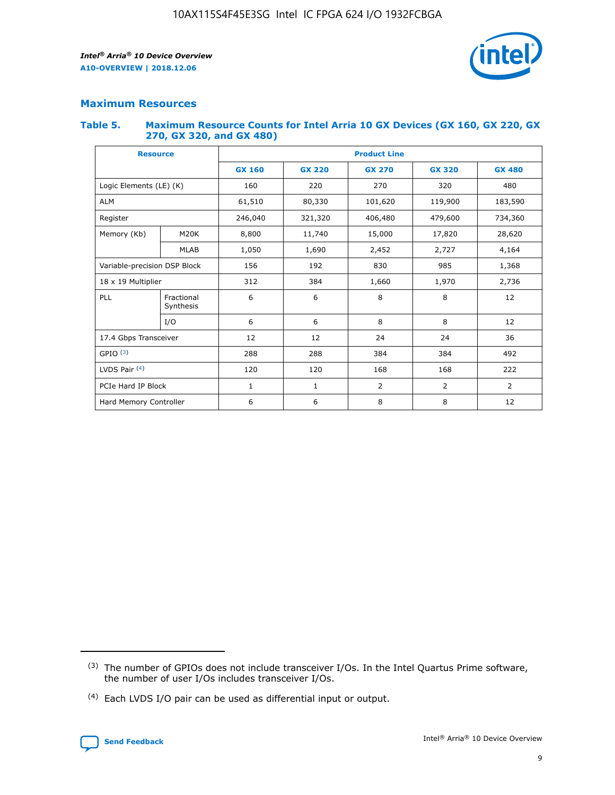

#### **Maximum Resources**

#### **Table 5. Maximum Resource Counts for Intel Arria 10 GX Devices (GX 160, GX 220, GX 270, GX 320, and GX 480)**

| <b>Resource</b>              |                         | <b>Product Line</b> |                                |                |                |                |  |  |  |
|------------------------------|-------------------------|---------------------|--------------------------------|----------------|----------------|----------------|--|--|--|
|                              |                         | <b>GX 160</b>       | <b>GX 220</b><br><b>GX 270</b> |                | <b>GX 320</b>  | <b>GX 480</b>  |  |  |  |
| Logic Elements (LE) (K)      |                         | 160                 | 220                            | 270            | 320            | 480            |  |  |  |
| <b>ALM</b>                   |                         | 61,510              | 80,330                         | 101,620        | 119,900        | 183,590        |  |  |  |
| Register                     |                         | 246,040             | 321,320                        | 406,480        |                | 734,360        |  |  |  |
| Memory (Kb)                  | M <sub>20</sub> K       | 8,800               | 11,740                         | 15,000         |                | 28,620         |  |  |  |
| <b>MLAB</b>                  |                         | 1,050               | 1,690                          | 2,452          | 2,727          | 4,164          |  |  |  |
| Variable-precision DSP Block |                         | 156                 | 192<br>830<br>985              |                |                | 1,368          |  |  |  |
| 18 x 19 Multiplier           |                         | 312                 | 384                            | 1,970<br>1,660 |                | 2,736          |  |  |  |
| PLL                          | Fractional<br>Synthesis | 6                   | 6                              | 8              | 8              | 12             |  |  |  |
|                              | I/O                     | 6                   | 6                              | 8              | 8              | 12             |  |  |  |
| 17.4 Gbps Transceiver        |                         | 12                  | 12                             | 24<br>24       |                | 36             |  |  |  |
| GPIO <sup>(3)</sup>          |                         | 288                 | 288<br>384<br>384              |                |                | 492            |  |  |  |
| LVDS Pair $(4)$              |                         | 120                 | 120                            | 168            | 168            | 222            |  |  |  |
| PCIe Hard IP Block           |                         | $\mathbf{1}$        | 1                              | $\overline{2}$ | $\overline{2}$ | $\overline{2}$ |  |  |  |
| Hard Memory Controller       |                         | 6                   | 6                              | 8              | 8              | 12             |  |  |  |

<sup>(4)</sup> Each LVDS I/O pair can be used as differential input or output.



<sup>(3)</sup> The number of GPIOs does not include transceiver I/Os. In the Intel Quartus Prime software, the number of user I/Os includes transceiver I/Os.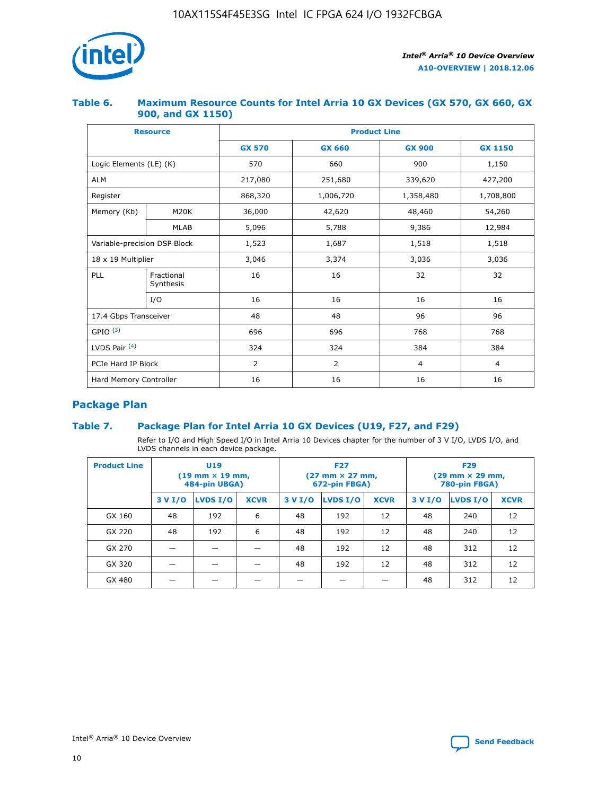

#### **Table 6. Maximum Resource Counts for Intel Arria 10 GX Devices (GX 570, GX 660, GX 900, and GX 1150)**

|                              | <b>Resource</b>         | <b>Product Line</b> |                |                |                |  |  |  |
|------------------------------|-------------------------|---------------------|----------------|----------------|----------------|--|--|--|
|                              |                         | <b>GX 570</b>       | <b>GX 660</b>  | <b>GX 900</b>  | <b>GX 1150</b> |  |  |  |
| Logic Elements (LE) (K)      |                         | 570                 | 660            | 900            | 1,150          |  |  |  |
| <b>ALM</b>                   |                         | 217,080             | 251,680        | 339,620        | 427,200        |  |  |  |
| Register                     |                         | 868,320             | 1,006,720      | 1,358,480      | 1,708,800      |  |  |  |
| Memory (Kb)                  | <b>M20K</b>             | 36,000              | 42,620         | 48,460         | 54,260         |  |  |  |
|                              | <b>MLAB</b>             | 5,096               | 5,788          | 9,386          | 12,984         |  |  |  |
| Variable-precision DSP Block |                         | 1,523               | 1,687          | 1,518          | 1,518          |  |  |  |
| $18 \times 19$ Multiplier    |                         | 3,046               | 3,374          | 3,036          | 3,036          |  |  |  |
| PLL                          | Fractional<br>Synthesis | 16                  | 16             | 32             | 32             |  |  |  |
|                              | I/O                     | 16                  | 16             | 16             | 16             |  |  |  |
| 17.4 Gbps Transceiver        |                         | 48                  | 48             | 96             | 96             |  |  |  |
| GPIO <sup>(3)</sup>          |                         | 696                 | 696            | 768            | 768            |  |  |  |
| LVDS Pair $(4)$              |                         | 324                 | 324            | 384            | 384            |  |  |  |
| PCIe Hard IP Block           |                         | 2                   | $\overline{2}$ | $\overline{4}$ | 4              |  |  |  |
| Hard Memory Controller       |                         | 16                  | 16             | 16             | 16             |  |  |  |

## **Package Plan**

#### **Table 7. Package Plan for Intel Arria 10 GX Devices (U19, F27, and F29)**

Refer to I/O and High Speed I/O in Intel Arria 10 Devices chapter for the number of 3 V I/O, LVDS I/O, and LVDS channels in each device package.

| <b>Product Line</b> | U <sub>19</sub><br>$(19 \text{ mm} \times 19 \text{ mm})$<br>484-pin UBGA) |          |             |         | <b>F27</b><br>(27 mm × 27 mm,<br>672-pin FBGA) |             | <b>F29</b><br>(29 mm × 29 mm,<br>780-pin FBGA) |          |             |  |
|---------------------|----------------------------------------------------------------------------|----------|-------------|---------|------------------------------------------------|-------------|------------------------------------------------|----------|-------------|--|
|                     | 3 V I/O                                                                    | LVDS I/O | <b>XCVR</b> | 3 V I/O | LVDS I/O                                       | <b>XCVR</b> | 3 V I/O                                        | LVDS I/O | <b>XCVR</b> |  |
| GX 160              | 48                                                                         | 192      | 6           | 48      | 192                                            | 12          | 48                                             | 240      | 12          |  |
| GX 220              | 48                                                                         | 192      | 6           | 48      | 192                                            | 12          | 48                                             | 240      | 12          |  |
| GX 270              |                                                                            |          |             | 48      | 192                                            | 12          | 48                                             | 312      | 12          |  |
| GX 320              |                                                                            |          |             | 48      | 192                                            | 12          | 48                                             | 312      | 12          |  |
| GX 480              |                                                                            |          |             |         |                                                |             | 48                                             | 312      | 12          |  |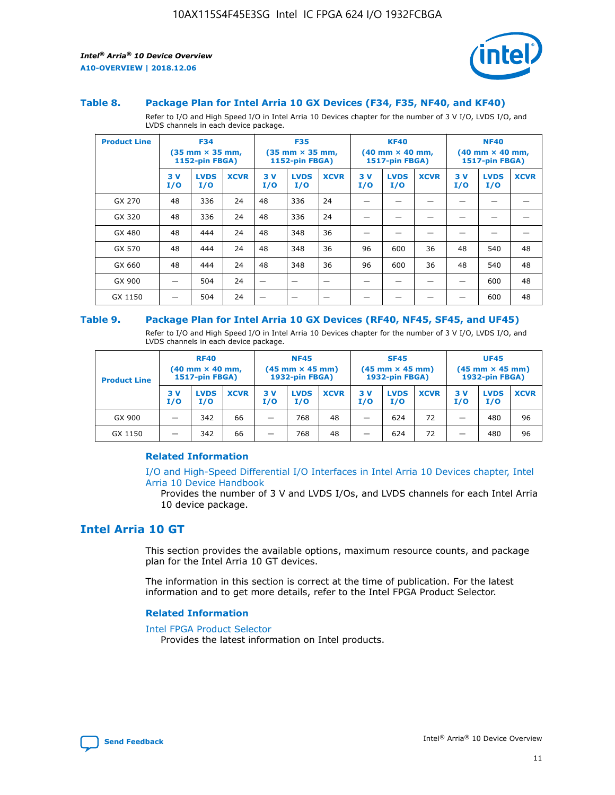

#### **Table 8. Package Plan for Intel Arria 10 GX Devices (F34, F35, NF40, and KF40)**

Refer to I/O and High Speed I/O in Intel Arria 10 Devices chapter for the number of 3 V I/O, LVDS I/O, and LVDS channels in each device package.

| <b>Product Line</b> | <b>F34</b><br>$(35 \text{ mm} \times 35 \text{ mm})$<br>1152-pin FBGA) |                    | <b>F35</b><br>$(35 \text{ mm} \times 35 \text{ mm})$<br><b>1152-pin FBGA)</b> |           | <b>KF40</b><br>$(40$ mm $\times$ 40 mm,<br>1517-pin FBGA) |             |           | <b>NF40</b><br>$(40$ mm $\times$ 40 mm,<br><b>1517-pin FBGA)</b> |             |            |                    |             |
|---------------------|------------------------------------------------------------------------|--------------------|-------------------------------------------------------------------------------|-----------|-----------------------------------------------------------|-------------|-----------|------------------------------------------------------------------|-------------|------------|--------------------|-------------|
|                     | 3V<br>I/O                                                              | <b>LVDS</b><br>I/O | <b>XCVR</b>                                                                   | 3V<br>I/O | <b>LVDS</b><br>I/O                                        | <b>XCVR</b> | 3V<br>I/O | <b>LVDS</b><br>I/O                                               | <b>XCVR</b> | 3 V<br>I/O | <b>LVDS</b><br>I/O | <b>XCVR</b> |
| GX 270              | 48                                                                     | 336                | 24                                                                            | 48        | 336                                                       | 24          |           |                                                                  |             |            |                    |             |
| GX 320              | 48                                                                     | 336                | 24                                                                            | 48        | 336                                                       | 24          |           |                                                                  |             |            |                    |             |
| GX 480              | 48                                                                     | 444                | 24                                                                            | 48        | 348                                                       | 36          |           |                                                                  |             |            |                    |             |
| GX 570              | 48                                                                     | 444                | 24                                                                            | 48        | 348                                                       | 36          | 96        | 600                                                              | 36          | 48         | 540                | 48          |
| GX 660              | 48                                                                     | 444                | 24                                                                            | 48        | 348                                                       | 36          | 96        | 600                                                              | 36          | 48         | 540                | 48          |
| GX 900              |                                                                        | 504                | 24                                                                            | -         |                                                           |             |           |                                                                  |             |            | 600                | 48          |
| GX 1150             |                                                                        | 504                | 24                                                                            |           |                                                           |             |           |                                                                  |             |            | 600                | 48          |

#### **Table 9. Package Plan for Intel Arria 10 GX Devices (RF40, NF45, SF45, and UF45)**

Refer to I/O and High Speed I/O in Intel Arria 10 Devices chapter for the number of 3 V I/O, LVDS I/O, and LVDS channels in each device package.

| <b>Product Line</b> | <b>RF40</b><br>$(40$ mm $\times$ 40 mm,<br>1517-pin FBGA) |                    |             | <b>NF45</b><br>$(45 \text{ mm} \times 45 \text{ mm})$<br><b>1932-pin FBGA)</b> |                    |             | <b>SF45</b><br>$(45 \text{ mm} \times 45 \text{ mm})$<br><b>1932-pin FBGA)</b> |                    |             | <b>UF45</b><br>$(45 \text{ mm} \times 45 \text{ mm})$<br><b>1932-pin FBGA)</b> |                    |             |
|---------------------|-----------------------------------------------------------|--------------------|-------------|--------------------------------------------------------------------------------|--------------------|-------------|--------------------------------------------------------------------------------|--------------------|-------------|--------------------------------------------------------------------------------|--------------------|-------------|
|                     | 3V<br>I/O                                                 | <b>LVDS</b><br>I/O | <b>XCVR</b> | 3 V<br>I/O                                                                     | <b>LVDS</b><br>I/O | <b>XCVR</b> | 3 V<br>I/O                                                                     | <b>LVDS</b><br>I/O | <b>XCVR</b> | 3V<br>I/O                                                                      | <b>LVDS</b><br>I/O | <b>XCVR</b> |
| GX 900              |                                                           | 342                | 66          | _                                                                              | 768                | 48          |                                                                                | 624                | 72          |                                                                                | 480                | 96          |
| GX 1150             |                                                           | 342                | 66          | _                                                                              | 768                | 48          |                                                                                | 624                | 72          |                                                                                | 480                | 96          |

#### **Related Information**

[I/O and High-Speed Differential I/O Interfaces in Intel Arria 10 Devices chapter, Intel](https://www.intel.com/content/www/us/en/programmable/documentation/sam1403482614086.html#sam1403482030321) [Arria 10 Device Handbook](https://www.intel.com/content/www/us/en/programmable/documentation/sam1403482614086.html#sam1403482030321)

Provides the number of 3 V and LVDS I/Os, and LVDS channels for each Intel Arria 10 device package.

## **Intel Arria 10 GT**

This section provides the available options, maximum resource counts, and package plan for the Intel Arria 10 GT devices.

The information in this section is correct at the time of publication. For the latest information and to get more details, refer to the Intel FPGA Product Selector.

#### **Related Information**

#### [Intel FPGA Product Selector](http://www.altera.com/products/selector/psg-selector.html)

Provides the latest information on Intel products.

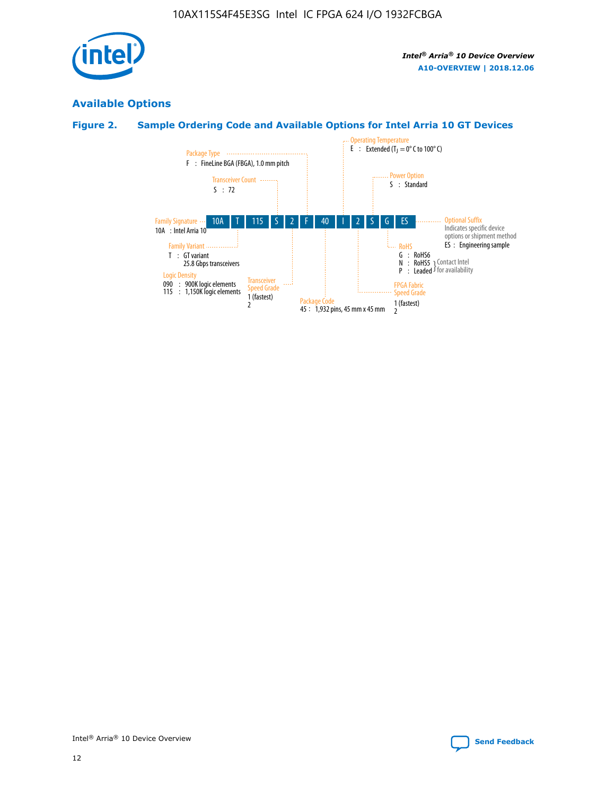

## **Available Options**

#### **Figure 2. Sample Ordering Code and Available Options for Intel Arria 10 GT Devices**

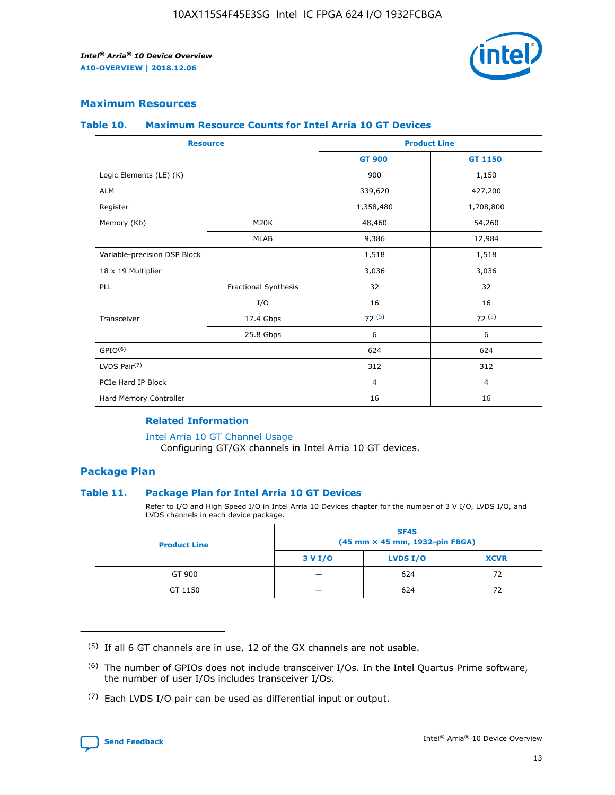

#### **Maximum Resources**

#### **Table 10. Maximum Resource Counts for Intel Arria 10 GT Devices**

| <b>Resource</b>              |                      |                | <b>Product Line</b> |  |
|------------------------------|----------------------|----------------|---------------------|--|
|                              |                      | <b>GT 900</b>  | <b>GT 1150</b>      |  |
| Logic Elements (LE) (K)      |                      | 900            | 1,150               |  |
| <b>ALM</b>                   |                      | 339,620        | 427,200             |  |
| Register                     |                      | 1,358,480      | 1,708,800           |  |
| Memory (Kb)                  | M <sub>20</sub> K    | 48,460         | 54,260              |  |
|                              | <b>MLAB</b>          | 9,386          | 12,984              |  |
| Variable-precision DSP Block |                      | 1,518          | 1,518               |  |
| 18 x 19 Multiplier           |                      | 3,036          | 3,036               |  |
| PLL                          | Fractional Synthesis | 32             | 32                  |  |
|                              | I/O                  | 16             | 16                  |  |
| Transceiver                  | 17.4 Gbps            | 72(5)          | 72(5)               |  |
|                              | 25.8 Gbps            | 6              | 6                   |  |
| GPIO <sup>(6)</sup>          |                      | 624            | 624                 |  |
| LVDS Pair $(7)$              |                      | 312            | 312                 |  |
| PCIe Hard IP Block           |                      | $\overline{4}$ | $\overline{4}$      |  |
| Hard Memory Controller       |                      | 16             | 16                  |  |

#### **Related Information**

#### [Intel Arria 10 GT Channel Usage](https://www.intel.com/content/www/us/en/programmable/documentation/nik1398707230472.html#nik1398707008178)

Configuring GT/GX channels in Intel Arria 10 GT devices.

#### **Package Plan**

#### **Table 11. Package Plan for Intel Arria 10 GT Devices**

Refer to I/O and High Speed I/O in Intel Arria 10 Devices chapter for the number of 3 V I/O, LVDS I/O, and LVDS channels in each device package.

| <b>Product Line</b> | <b>SF45</b><br>(45 mm × 45 mm, 1932-pin FBGA) |                 |             |  |  |  |
|---------------------|-----------------------------------------------|-----------------|-------------|--|--|--|
|                     | 3 V I/O                                       | <b>LVDS I/O</b> | <b>XCVR</b> |  |  |  |
| GT 900              |                                               | 624             | 72          |  |  |  |
| GT 1150             |                                               | 624             | 72          |  |  |  |

<sup>(7)</sup> Each LVDS I/O pair can be used as differential input or output.



 $(5)$  If all 6 GT channels are in use, 12 of the GX channels are not usable.

<sup>(6)</sup> The number of GPIOs does not include transceiver I/Os. In the Intel Quartus Prime software, the number of user I/Os includes transceiver I/Os.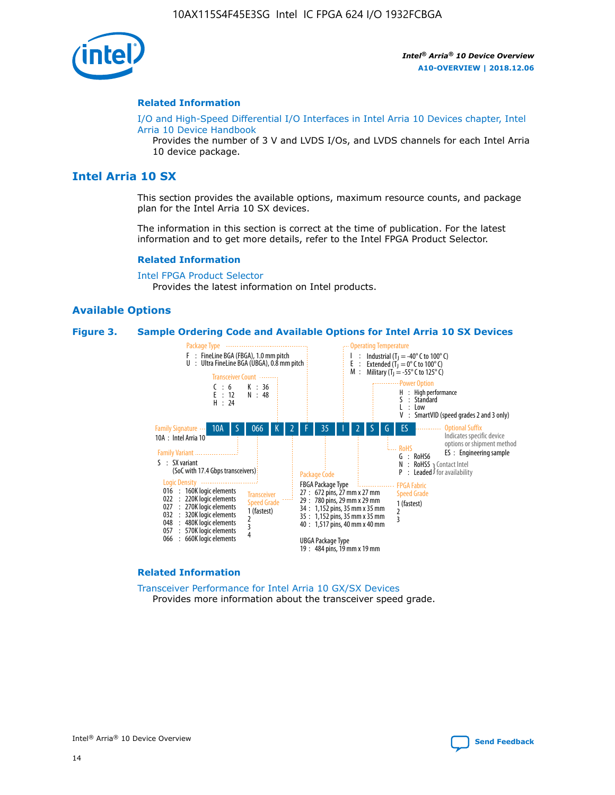

#### **Related Information**

[I/O and High-Speed Differential I/O Interfaces in Intel Arria 10 Devices chapter, Intel](https://www.intel.com/content/www/us/en/programmable/documentation/sam1403482614086.html#sam1403482030321) [Arria 10 Device Handbook](https://www.intel.com/content/www/us/en/programmable/documentation/sam1403482614086.html#sam1403482030321)

Provides the number of 3 V and LVDS I/Os, and LVDS channels for each Intel Arria 10 device package.

#### **Intel Arria 10 SX**

This section provides the available options, maximum resource counts, and package plan for the Intel Arria 10 SX devices.

The information in this section is correct at the time of publication. For the latest information and to get more details, refer to the Intel FPGA Product Selector.

#### **Related Information**

[Intel FPGA Product Selector](http://www.altera.com/products/selector/psg-selector.html) Provides the latest information on Intel products.

#### **Available Options**

#### **Figure 3. Sample Ordering Code and Available Options for Intel Arria 10 SX Devices**



#### **Related Information**

[Transceiver Performance for Intel Arria 10 GX/SX Devices](https://www.intel.com/content/www/us/en/programmable/documentation/mcn1413182292568.html#mcn1413213965502) Provides more information about the transceiver speed grade.

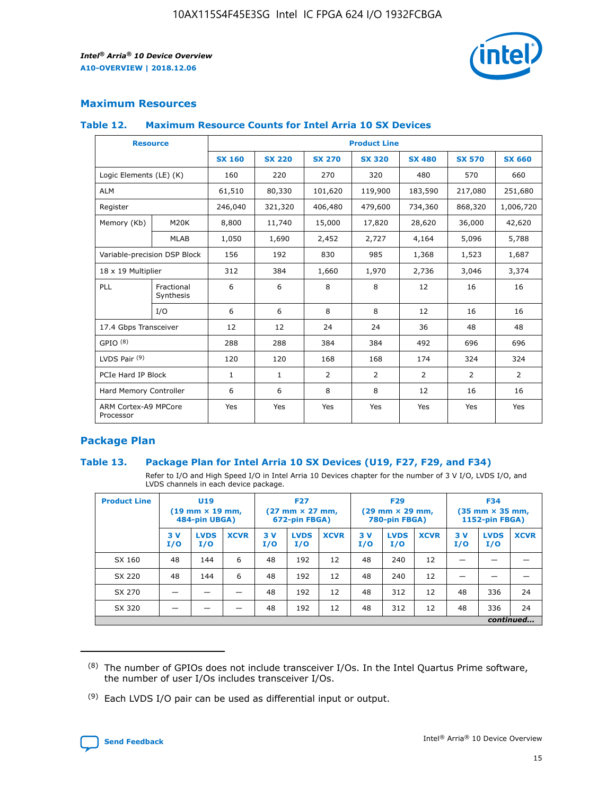

#### **Maximum Resources**

#### **Table 12. Maximum Resource Counts for Intel Arria 10 SX Devices**

|                                   | <b>Resource</b>         | <b>Product Line</b> |               |                |                |                |                |                |  |  |  |
|-----------------------------------|-------------------------|---------------------|---------------|----------------|----------------|----------------|----------------|----------------|--|--|--|
|                                   |                         | <b>SX 160</b>       | <b>SX 220</b> | <b>SX 270</b>  | <b>SX 320</b>  | <b>SX 480</b>  | <b>SX 570</b>  | <b>SX 660</b>  |  |  |  |
| Logic Elements (LE) (K)           |                         | 160                 | 220           | 270            | 320            | 480            | 570            | 660            |  |  |  |
| <b>ALM</b>                        |                         | 61,510              | 80,330        | 101,620        | 119,900        | 183,590        | 217,080        | 251,680        |  |  |  |
| Register                          |                         | 246,040             | 321,320       | 406,480        | 479,600        | 734,360        | 868,320        | 1,006,720      |  |  |  |
| Memory (Kb)                       | M <sub>20</sub> K       | 8,800               | 11,740        | 15,000         | 17,820         | 28,620         | 36,000         | 42,620         |  |  |  |
|                                   | <b>MLAB</b>             | 1,050               | 1,690         | 2,452          | 2,727          | 4,164          | 5,096          | 5,788          |  |  |  |
| Variable-precision DSP Block      |                         | 156                 | 192           | 830            | 985            | 1,368          | 1,523          | 1,687          |  |  |  |
| 18 x 19 Multiplier                |                         | 312                 | 384           | 1,660          | 1,970          | 2,736          | 3,046          | 3,374          |  |  |  |
| <b>PLL</b>                        | Fractional<br>Synthesis | 6                   | 6             | 8              | 8              | 12             | 16             | 16             |  |  |  |
|                                   | I/O                     | 6                   | 6             | 8              | 8              | 12             | 16             | 16             |  |  |  |
| 17.4 Gbps Transceiver             |                         | 12                  | 12            | 24             | 24             | 36             | 48             | 48             |  |  |  |
| GPIO <sup>(8)</sup>               |                         | 288                 | 288           | 384            | 384            | 492            | 696            | 696            |  |  |  |
| LVDS Pair $(9)$                   |                         | 120                 | 120           | 168            | 168            | 174            | 324            | 324            |  |  |  |
| PCIe Hard IP Block                |                         | $\mathbf{1}$        | $\mathbf{1}$  | $\overline{2}$ | $\overline{2}$ | $\overline{2}$ | $\overline{2}$ | $\overline{2}$ |  |  |  |
| Hard Memory Controller            |                         | 6                   | 6             | 8              | 8              | 12             | 16             | 16             |  |  |  |
| ARM Cortex-A9 MPCore<br>Processor |                         | Yes                 | Yes           | Yes            | Yes            | Yes            | Yes            | Yes            |  |  |  |

#### **Package Plan**

#### **Table 13. Package Plan for Intel Arria 10 SX Devices (U19, F27, F29, and F34)**

Refer to I/O and High Speed I/O in Intel Arria 10 Devices chapter for the number of 3 V I/O, LVDS I/O, and LVDS channels in each device package.

| <b>Product Line</b> | <b>U19</b><br>$(19$ mm $\times$ 19 mm,<br>484-pin UBGA) |                    |             | <b>F27</b><br>$(27 \text{ mm} \times 27 \text{ mm})$<br>672-pin FBGA) |                    | <b>F29</b><br>$(29 \text{ mm} \times 29 \text{ mm})$<br>780-pin FBGA) |           |                    | <b>F34</b><br>$(35 \text{ mm} \times 35 \text{ mm})$<br><b>1152-pin FBGA)</b> |           |                    |             |
|---------------------|---------------------------------------------------------|--------------------|-------------|-----------------------------------------------------------------------|--------------------|-----------------------------------------------------------------------|-----------|--------------------|-------------------------------------------------------------------------------|-----------|--------------------|-------------|
|                     | 3V<br>I/O                                               | <b>LVDS</b><br>I/O | <b>XCVR</b> | 3V<br>I/O                                                             | <b>LVDS</b><br>I/O | <b>XCVR</b>                                                           | 3V<br>I/O | <b>LVDS</b><br>I/O | <b>XCVR</b>                                                                   | 3V<br>I/O | <b>LVDS</b><br>I/O | <b>XCVR</b> |
| SX 160              | 48                                                      | 144                | 6           | 48                                                                    | 192                | 12                                                                    | 48        | 240                | 12                                                                            | -         |                    |             |
| SX 220              | 48                                                      | 144                | 6           | 48                                                                    | 192                | 12                                                                    | 48        | 240                | 12                                                                            |           |                    |             |
| SX 270              |                                                         |                    |             | 48                                                                    | 192                | 12                                                                    | 48        | 312                | 12                                                                            | 48        | 336                | 24          |
| SX 320              |                                                         |                    |             | 48                                                                    | 192                | 12                                                                    | 48        | 312                | 12                                                                            | 48        | 336                | 24          |
|                     | continued                                               |                    |             |                                                                       |                    |                                                                       |           |                    |                                                                               |           |                    |             |

 $(8)$  The number of GPIOs does not include transceiver I/Os. In the Intel Quartus Prime software, the number of user I/Os includes transceiver I/Os.

 $(9)$  Each LVDS I/O pair can be used as differential input or output.

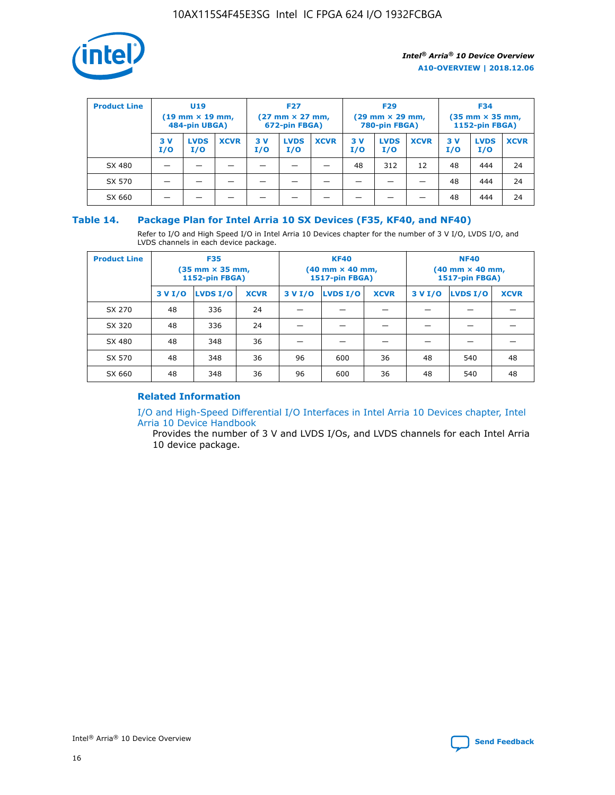

| <b>Product Line</b> | U <sub>19</sub><br>$(19 \text{ mm} \times 19 \text{ mm})$<br>484-pin UBGA) |                    | <b>F27</b><br>$(27 \text{ mm} \times 27 \text{ mm})$<br>672-pin FBGA) |           | <b>F29</b><br>$(29 \text{ mm} \times 29 \text{ mm})$<br>780-pin FBGA) |             |           | <b>F34</b><br>$(35$ mm $\times$ 35 mm,<br><b>1152-pin FBGA)</b> |             |           |                    |             |
|---------------------|----------------------------------------------------------------------------|--------------------|-----------------------------------------------------------------------|-----------|-----------------------------------------------------------------------|-------------|-----------|-----------------------------------------------------------------|-------------|-----------|--------------------|-------------|
|                     | 3V<br>I/O                                                                  | <b>LVDS</b><br>I/O | <b>XCVR</b>                                                           | 3V<br>I/O | <b>LVDS</b><br>I/O                                                    | <b>XCVR</b> | 3V<br>I/O | <b>LVDS</b><br>I/O                                              | <b>XCVR</b> | 3V<br>I/O | <b>LVDS</b><br>I/O | <b>XCVR</b> |
| SX 480              |                                                                            |                    |                                                                       |           |                                                                       |             | 48        | 312                                                             | 12          | 48        | 444                | 24          |
| SX 570              |                                                                            |                    |                                                                       |           |                                                                       |             |           |                                                                 |             | 48        | 444                | 24          |
| SX 660              |                                                                            |                    |                                                                       |           |                                                                       |             |           |                                                                 |             | 48        | 444                | 24          |

#### **Table 14. Package Plan for Intel Arria 10 SX Devices (F35, KF40, and NF40)**

Refer to I/O and High Speed I/O in Intel Arria 10 Devices chapter for the number of 3 V I/O, LVDS I/O, and LVDS channels in each device package.

| <b>Product Line</b> | <b>F35</b><br>(35 mm × 35 mm,<br><b>1152-pin FBGA)</b> |          |             |                                           | <b>KF40</b><br>(40 mm × 40 mm,<br>1517-pin FBGA) |    | <b>NF40</b><br>$(40 \text{ mm} \times 40 \text{ mm})$<br>1517-pin FBGA) |          |             |  |
|---------------------|--------------------------------------------------------|----------|-------------|-------------------------------------------|--------------------------------------------------|----|-------------------------------------------------------------------------|----------|-------------|--|
|                     | 3 V I/O                                                | LVDS I/O | <b>XCVR</b> | <b>LVDS I/O</b><br>3 V I/O<br><b>XCVR</b> |                                                  |    | 3 V I/O                                                                 | LVDS I/O | <b>XCVR</b> |  |
| SX 270              | 48                                                     | 336      | 24          |                                           |                                                  |    |                                                                         |          |             |  |
| SX 320              | 48                                                     | 336      | 24          |                                           |                                                  |    |                                                                         |          |             |  |
| SX 480              | 48                                                     | 348      | 36          |                                           |                                                  |    |                                                                         |          |             |  |
| SX 570              | 48                                                     | 348      | 36          | 96                                        | 600                                              | 36 | 48                                                                      | 540      | 48          |  |
| SX 660              | 48                                                     | 348      | 36          | 96                                        | 600                                              | 36 | 48                                                                      | 540      | 48          |  |

#### **Related Information**

[I/O and High-Speed Differential I/O Interfaces in Intel Arria 10 Devices chapter, Intel](https://www.intel.com/content/www/us/en/programmable/documentation/sam1403482614086.html#sam1403482030321) [Arria 10 Device Handbook](https://www.intel.com/content/www/us/en/programmable/documentation/sam1403482614086.html#sam1403482030321)

Provides the number of 3 V and LVDS I/Os, and LVDS channels for each Intel Arria 10 device package.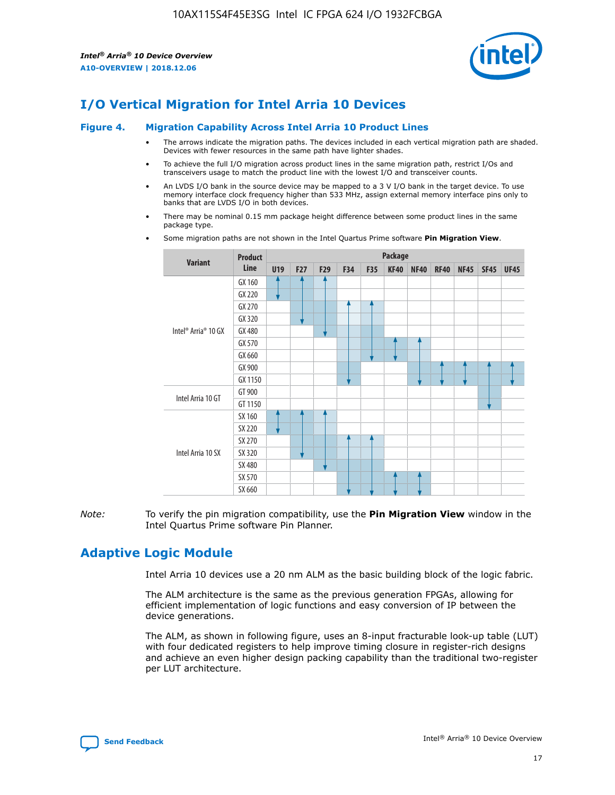

## **I/O Vertical Migration for Intel Arria 10 Devices**

#### **Figure 4. Migration Capability Across Intel Arria 10 Product Lines**

- The arrows indicate the migration paths. The devices included in each vertical migration path are shaded. Devices with fewer resources in the same path have lighter shades.
- To achieve the full I/O migration across product lines in the same migration path, restrict I/Os and transceivers usage to match the product line with the lowest I/O and transceiver counts.
- An LVDS I/O bank in the source device may be mapped to a 3 V I/O bank in the target device. To use memory interface clock frequency higher than 533 MHz, assign external memory interface pins only to banks that are LVDS I/O in both devices.
- There may be nominal 0.15 mm package height difference between some product lines in the same package type.
	- **Variant Product Line Package U19 F27 F29 F34 F35 KF40 NF40 RF40 NF45 SF45 UF45** Intel® Arria® 10 GX GX 160 GX 220 GX 270 GX 320 GX 480 GX 570 GX 660 GX 900 GX 1150 Intel Arria 10 GT GT 900 GT 1150 Intel Arria 10 SX SX 160 SX 220 SX 270 SX 320 SX 480 SX 570 SX 660
- Some migration paths are not shown in the Intel Quartus Prime software **Pin Migration View**.

*Note:* To verify the pin migration compatibility, use the **Pin Migration View** window in the Intel Quartus Prime software Pin Planner.

## **Adaptive Logic Module**

Intel Arria 10 devices use a 20 nm ALM as the basic building block of the logic fabric.

The ALM architecture is the same as the previous generation FPGAs, allowing for efficient implementation of logic functions and easy conversion of IP between the device generations.

The ALM, as shown in following figure, uses an 8-input fracturable look-up table (LUT) with four dedicated registers to help improve timing closure in register-rich designs and achieve an even higher design packing capability than the traditional two-register per LUT architecture.

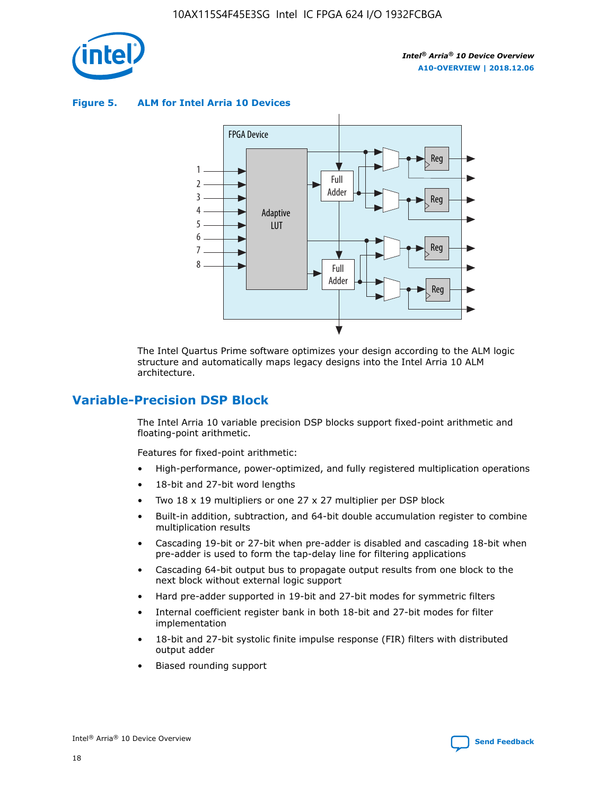

**Figure 5. ALM for Intel Arria 10 Devices**



The Intel Quartus Prime software optimizes your design according to the ALM logic structure and automatically maps legacy designs into the Intel Arria 10 ALM architecture.

## **Variable-Precision DSP Block**

The Intel Arria 10 variable precision DSP blocks support fixed-point arithmetic and floating-point arithmetic.

Features for fixed-point arithmetic:

- High-performance, power-optimized, and fully registered multiplication operations
- 18-bit and 27-bit word lengths
- Two 18 x 19 multipliers or one 27 x 27 multiplier per DSP block
- Built-in addition, subtraction, and 64-bit double accumulation register to combine multiplication results
- Cascading 19-bit or 27-bit when pre-adder is disabled and cascading 18-bit when pre-adder is used to form the tap-delay line for filtering applications
- Cascading 64-bit output bus to propagate output results from one block to the next block without external logic support
- Hard pre-adder supported in 19-bit and 27-bit modes for symmetric filters
- Internal coefficient register bank in both 18-bit and 27-bit modes for filter implementation
- 18-bit and 27-bit systolic finite impulse response (FIR) filters with distributed output adder
- Biased rounding support

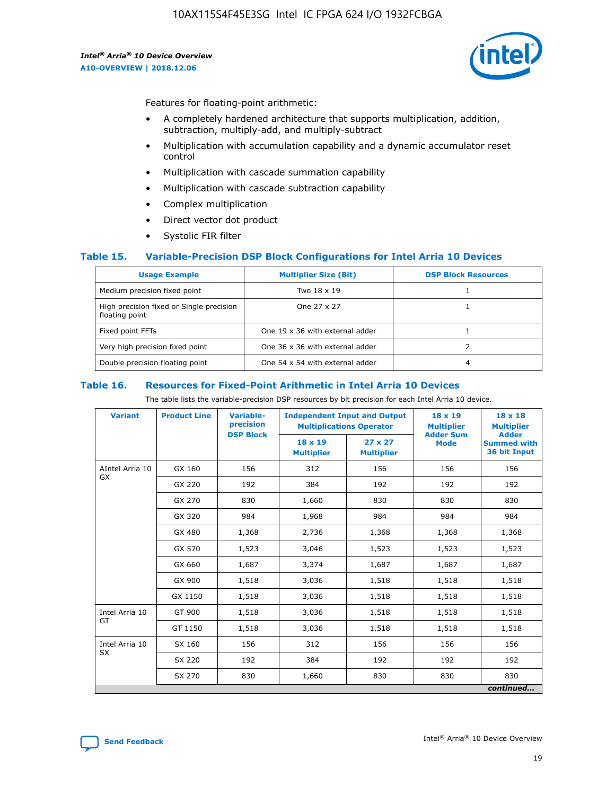

Features for floating-point arithmetic:

- A completely hardened architecture that supports multiplication, addition, subtraction, multiply-add, and multiply-subtract
- Multiplication with accumulation capability and a dynamic accumulator reset control
- Multiplication with cascade summation capability
- Multiplication with cascade subtraction capability
- Complex multiplication
- Direct vector dot product
- Systolic FIR filter

#### **Table 15. Variable-Precision DSP Block Configurations for Intel Arria 10 Devices**

| <b>Usage Example</b>                                       | <b>Multiplier Size (Bit)</b>    | <b>DSP Block Resources</b> |
|------------------------------------------------------------|---------------------------------|----------------------------|
| Medium precision fixed point                               | Two 18 x 19                     |                            |
| High precision fixed or Single precision<br>floating point | One 27 x 27                     |                            |
| Fixed point FFTs                                           | One 19 x 36 with external adder |                            |
| Very high precision fixed point                            | One 36 x 36 with external adder |                            |
| Double precision floating point                            | One 54 x 54 with external adder | 4                          |

#### **Table 16. Resources for Fixed-Point Arithmetic in Intel Arria 10 Devices**

The table lists the variable-precision DSP resources by bit precision for each Intel Arria 10 device.

| <b>Variant</b>  | <b>Product Line</b> | <b>Variable-</b><br>precision<br><b>DSP Block</b> | <b>Independent Input and Output</b><br><b>Multiplications Operator</b> |                                     | 18 x 19<br><b>Multiplier</b><br><b>Adder Sum</b> | $18 \times 18$<br><b>Multiplier</b><br><b>Adder</b> |
|-----------------|---------------------|---------------------------------------------------|------------------------------------------------------------------------|-------------------------------------|--------------------------------------------------|-----------------------------------------------------|
|                 |                     |                                                   | 18 x 19<br><b>Multiplier</b>                                           | $27 \times 27$<br><b>Multiplier</b> | <b>Mode</b>                                      | <b>Summed with</b><br>36 bit Input                  |
| AIntel Arria 10 | GX 160              | 156                                               | 312                                                                    | 156                                 | 156                                              | 156                                                 |
| GX              | GX 220              | 192                                               | 384                                                                    | 192                                 | 192                                              | 192                                                 |
|                 | GX 270              | 830                                               | 1,660                                                                  | 830                                 | 830                                              | 830                                                 |
|                 | GX 320              | 984                                               | 1,968                                                                  | 984                                 | 984                                              | 984                                                 |
|                 | GX 480              | 1,368                                             | 2,736                                                                  | 1,368                               | 1,368                                            | 1,368                                               |
|                 | GX 570              | 1,523                                             | 3,046                                                                  | 1,523                               | 1,523                                            | 1,523                                               |
|                 | GX 660              | 1,687                                             | 3,374                                                                  | 1,687                               | 1,687                                            | 1,687                                               |
|                 | GX 900              | 1,518                                             | 3,036                                                                  | 1,518                               | 1,518                                            | 1,518                                               |
|                 | GX 1150             | 1,518                                             | 3,036                                                                  | 1,518                               | 1,518                                            | 1,518                                               |
| Intel Arria 10  | GT 900              | 1,518                                             | 3,036                                                                  | 1,518                               | 1,518                                            | 1,518                                               |
| GT              | GT 1150             | 1,518                                             | 3,036                                                                  | 1,518                               | 1,518                                            | 1,518                                               |
| Intel Arria 10  | SX 160              | 156                                               | 312                                                                    | 156                                 | 156                                              | 156                                                 |
| <b>SX</b>       | SX 220<br>192       |                                                   | 384                                                                    | 192                                 | 192                                              | 192                                                 |
|                 | SX 270              | 830                                               | 1,660                                                                  | 830                                 | 830                                              | 830                                                 |
|                 |                     |                                                   |                                                                        |                                     |                                                  | continued                                           |

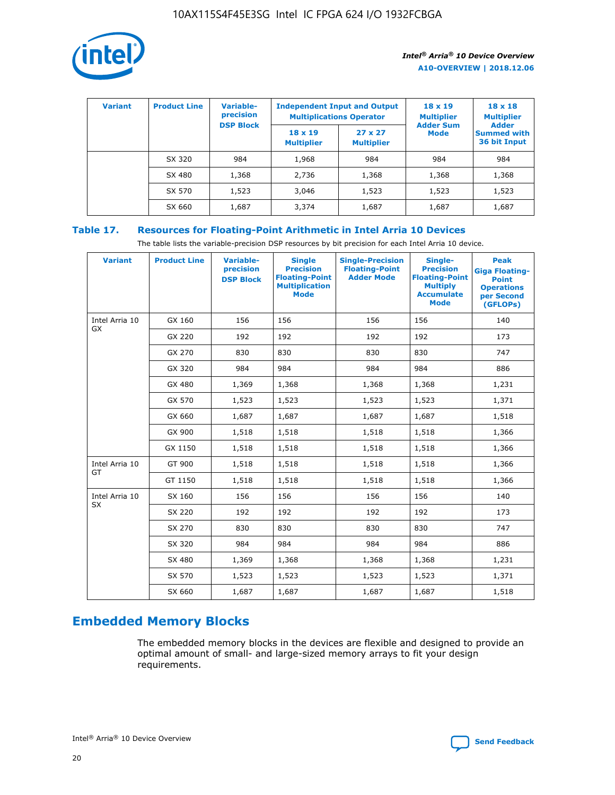

| <b>Variant</b> | <b>Product Line</b> | Variable-<br>precision | <b>Independent Input and Output</b><br><b>Multiplications Operator</b> |                                     | $18 \times 19$<br><b>Multiplier</b> | $18 \times 18$<br><b>Multiplier</b><br><b>Adder</b> |  |
|----------------|---------------------|------------------------|------------------------------------------------------------------------|-------------------------------------|-------------------------------------|-----------------------------------------------------|--|
|                |                     | <b>DSP Block</b>       | $18 \times 19$<br><b>Multiplier</b>                                    | $27 \times 27$<br><b>Multiplier</b> | <b>Adder Sum</b><br><b>Mode</b>     | <b>Summed with</b><br>36 bit Input                  |  |
|                | SX 320              | 984                    | 1,968                                                                  | 984                                 | 984                                 | 984                                                 |  |
|                | SX 480              | 1,368                  | 2,736                                                                  | 1,368                               | 1,368                               | 1,368                                               |  |
|                | SX 570              | 1,523                  | 3,046                                                                  | 1,523                               | 1,523                               | 1,523                                               |  |
|                | SX 660              | 1,687                  | 3,374                                                                  | 1,687                               | 1,687                               | 1,687                                               |  |

## **Table 17. Resources for Floating-Point Arithmetic in Intel Arria 10 Devices**

The table lists the variable-precision DSP resources by bit precision for each Intel Arria 10 device.

| <b>Variant</b> | <b>Product Line</b> | <b>Variable-</b><br>precision<br><b>DSP Block</b> | <b>Single</b><br><b>Precision</b><br><b>Floating-Point</b><br><b>Multiplication</b><br><b>Mode</b> | <b>Single-Precision</b><br><b>Floating-Point</b><br><b>Adder Mode</b> | Single-<br><b>Precision</b><br><b>Floating-Point</b><br><b>Multiply</b><br><b>Accumulate</b><br><b>Mode</b> | <b>Peak</b><br><b>Giga Floating-</b><br><b>Point</b><br><b>Operations</b><br>per Second<br>(GFLOPs) |
|----------------|---------------------|---------------------------------------------------|----------------------------------------------------------------------------------------------------|-----------------------------------------------------------------------|-------------------------------------------------------------------------------------------------------------|-----------------------------------------------------------------------------------------------------|
| Intel Arria 10 | GX 160              | 156                                               | 156                                                                                                | 156                                                                   | 156                                                                                                         | 140                                                                                                 |
| <b>GX</b>      | GX 220              | 192                                               | 192                                                                                                | 192                                                                   | 192                                                                                                         | 173                                                                                                 |
|                | GX 270              | 830                                               | 830                                                                                                | 830                                                                   | 830                                                                                                         | 747                                                                                                 |
|                | GX 320              | 984                                               | 984                                                                                                | 984                                                                   | 984                                                                                                         | 886                                                                                                 |
|                | GX 480              | 1,369                                             | 1,368                                                                                              | 1,368                                                                 | 1,368                                                                                                       | 1,231                                                                                               |
|                | GX 570              | 1,523                                             | 1,523                                                                                              | 1,523                                                                 | 1,523                                                                                                       | 1,371                                                                                               |
|                | GX 660              | 1,687                                             | 1,687                                                                                              | 1,687                                                                 | 1,687                                                                                                       | 1,518                                                                                               |
|                | GX 900              | 1,518                                             | 1,518                                                                                              | 1,518                                                                 | 1,518                                                                                                       | 1,366                                                                                               |
|                | GX 1150             | 1,518                                             | 1,518                                                                                              | 1,518                                                                 | 1,518                                                                                                       | 1,366                                                                                               |
| Intel Arria 10 | GT 900              | 1,518                                             | 1,518                                                                                              | 1,518                                                                 | 1,518                                                                                                       | 1,366                                                                                               |
| GT             | GT 1150             | 1,518                                             | 1,518                                                                                              | 1,518                                                                 | 1,518                                                                                                       | 1,366                                                                                               |
| Intel Arria 10 | SX 160              | 156                                               | 156                                                                                                | 156                                                                   | 156                                                                                                         | 140                                                                                                 |
| SX             | SX 220              | 192                                               | 192                                                                                                | 192                                                                   | 192                                                                                                         | 173                                                                                                 |
|                | SX 270              | 830                                               | 830                                                                                                | 830                                                                   | 830                                                                                                         | 747                                                                                                 |
|                | SX 320              | 984                                               | 984                                                                                                | 984                                                                   | 984                                                                                                         | 886                                                                                                 |
|                | SX 480              | 1,369                                             | 1,368                                                                                              | 1,368                                                                 | 1,368                                                                                                       | 1,231                                                                                               |
|                | SX 570              | 1,523                                             | 1,523                                                                                              | 1,523                                                                 | 1,523                                                                                                       | 1,371                                                                                               |
|                | SX 660              | 1,687                                             | 1,687                                                                                              | 1,687                                                                 | 1,687                                                                                                       | 1,518                                                                                               |

## **Embedded Memory Blocks**

The embedded memory blocks in the devices are flexible and designed to provide an optimal amount of small- and large-sized memory arrays to fit your design requirements.

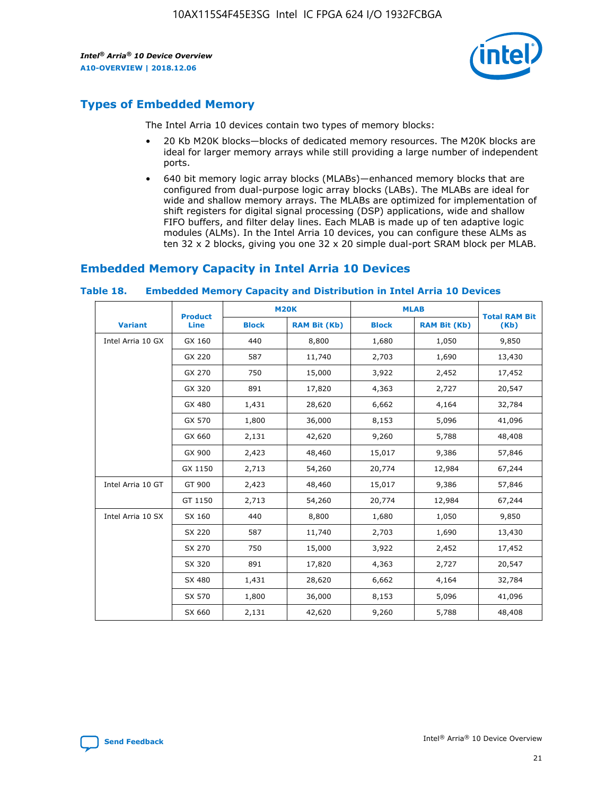

## **Types of Embedded Memory**

The Intel Arria 10 devices contain two types of memory blocks:

- 20 Kb M20K blocks—blocks of dedicated memory resources. The M20K blocks are ideal for larger memory arrays while still providing a large number of independent ports.
- 640 bit memory logic array blocks (MLABs)—enhanced memory blocks that are configured from dual-purpose logic array blocks (LABs). The MLABs are ideal for wide and shallow memory arrays. The MLABs are optimized for implementation of shift registers for digital signal processing (DSP) applications, wide and shallow FIFO buffers, and filter delay lines. Each MLAB is made up of ten adaptive logic modules (ALMs). In the Intel Arria 10 devices, you can configure these ALMs as ten 32 x 2 blocks, giving you one 32 x 20 simple dual-port SRAM block per MLAB.

## **Embedded Memory Capacity in Intel Arria 10 Devices**

|                   | <b>Product</b> | <b>M20K</b>  |                     | <b>MLAB</b>  |                     | <b>Total RAM Bit</b> |
|-------------------|----------------|--------------|---------------------|--------------|---------------------|----------------------|
| <b>Variant</b>    | <b>Line</b>    | <b>Block</b> | <b>RAM Bit (Kb)</b> | <b>Block</b> | <b>RAM Bit (Kb)</b> | (Kb)                 |
| Intel Arria 10 GX | GX 160         | 440          | 8,800               | 1,680        | 1,050               | 9,850                |
|                   | GX 220         | 587          | 11,740              | 2,703        | 1,690               | 13,430               |
|                   | GX 270         | 750          | 15,000              | 3,922        | 2,452               | 17,452               |
|                   | GX 320         | 891          | 17,820              | 4,363        | 2,727               | 20,547               |
|                   | GX 480         | 1,431        | 28,620              | 6,662        | 4,164               | 32,784               |
|                   | GX 570         | 1,800        | 36,000              | 8,153        | 5,096               | 41,096               |
|                   | GX 660         | 2,131        | 42,620              | 9,260        | 5,788               | 48,408               |
|                   | GX 900         | 2,423        | 48,460              | 15,017       | 9,386               | 57,846               |
|                   | GX 1150        | 2,713        | 54,260              | 20,774       | 12,984              | 67,244               |
| Intel Arria 10 GT | GT 900         | 2,423        | 48,460              | 15,017       | 9,386               | 57,846               |
|                   | GT 1150        | 2,713        | 54,260              | 20,774       | 12,984              | 67,244               |
| Intel Arria 10 SX | SX 160         | 440          | 8,800               | 1,680        | 1,050               | 9,850                |
|                   | SX 220         | 587          | 11,740              | 2,703        | 1,690               | 13,430               |
|                   | SX 270         | 750          | 15,000              | 3,922        | 2,452               | 17,452               |
|                   | SX 320         | 891          | 17,820              | 4,363        | 2,727               | 20,547               |
|                   | SX 480         | 1,431        | 28,620              | 6,662        | 4,164               | 32,784               |
|                   | SX 570         | 1,800        | 36,000              | 8,153        | 5,096               | 41,096               |
|                   | SX 660         | 2,131        | 42,620              | 9,260        | 5,788               | 48,408               |

#### **Table 18. Embedded Memory Capacity and Distribution in Intel Arria 10 Devices**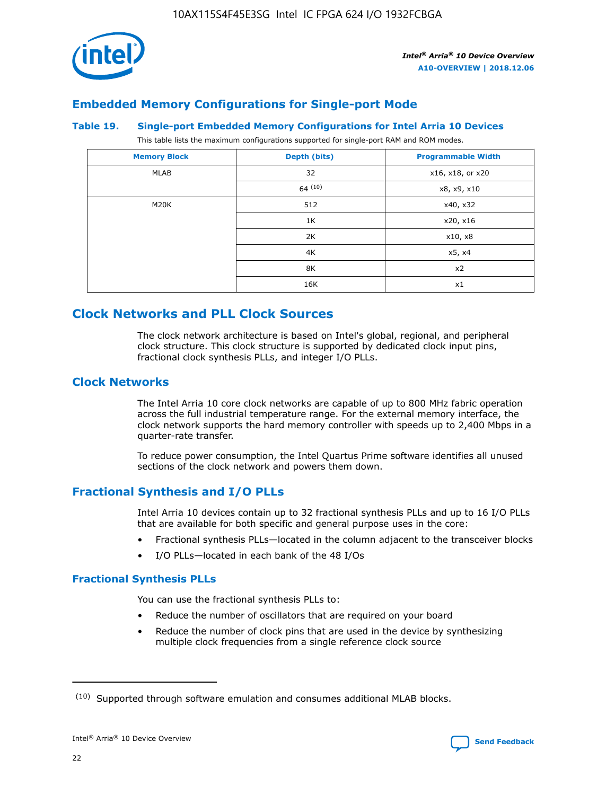

## **Embedded Memory Configurations for Single-port Mode**

#### **Table 19. Single-port Embedded Memory Configurations for Intel Arria 10 Devices**

This table lists the maximum configurations supported for single-port RAM and ROM modes.

| <b>Memory Block</b> | Depth (bits) | <b>Programmable Width</b> |
|---------------------|--------------|---------------------------|
| MLAB                | 32           | x16, x18, or x20          |
|                     | 64(10)       | x8, x9, x10               |
| M20K                | 512          | x40, x32                  |
|                     | 1K           | x20, x16                  |
|                     | 2K           | x10, x8                   |
|                     | 4K           | x5, x4                    |
|                     | 8K           | x2                        |
|                     | 16K          | x1                        |

## **Clock Networks and PLL Clock Sources**

The clock network architecture is based on Intel's global, regional, and peripheral clock structure. This clock structure is supported by dedicated clock input pins, fractional clock synthesis PLLs, and integer I/O PLLs.

#### **Clock Networks**

The Intel Arria 10 core clock networks are capable of up to 800 MHz fabric operation across the full industrial temperature range. For the external memory interface, the clock network supports the hard memory controller with speeds up to 2,400 Mbps in a quarter-rate transfer.

To reduce power consumption, the Intel Quartus Prime software identifies all unused sections of the clock network and powers them down.

#### **Fractional Synthesis and I/O PLLs**

Intel Arria 10 devices contain up to 32 fractional synthesis PLLs and up to 16 I/O PLLs that are available for both specific and general purpose uses in the core:

- Fractional synthesis PLLs—located in the column adjacent to the transceiver blocks
- I/O PLLs—located in each bank of the 48 I/Os

#### **Fractional Synthesis PLLs**

You can use the fractional synthesis PLLs to:

- Reduce the number of oscillators that are required on your board
- Reduce the number of clock pins that are used in the device by synthesizing multiple clock frequencies from a single reference clock source

<sup>(10)</sup> Supported through software emulation and consumes additional MLAB blocks.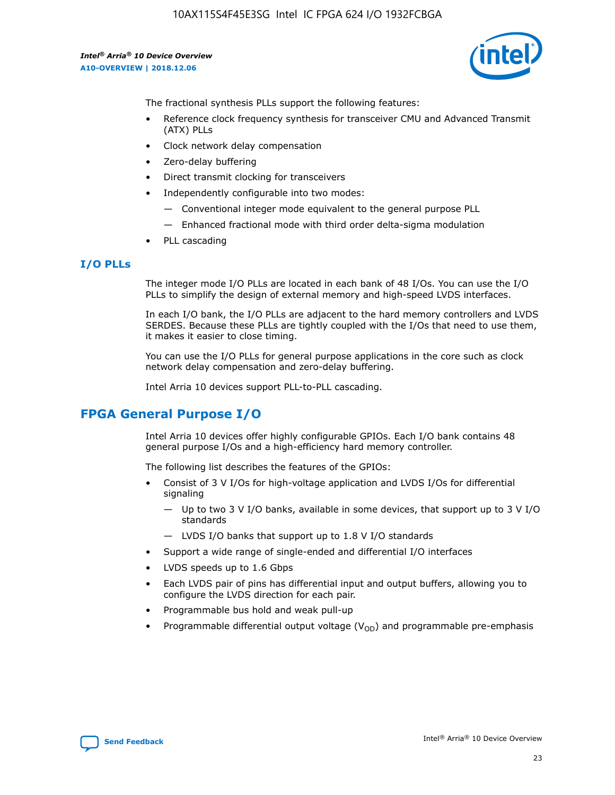10AX115S4F45E3SG Intel IC FPGA 624 I/O 1932FCBGA

*Intel® Arria® 10 Device Overview* **A10-OVERVIEW | 2018.12.06**



The fractional synthesis PLLs support the following features:

- Reference clock frequency synthesis for transceiver CMU and Advanced Transmit (ATX) PLLs
- Clock network delay compensation
- Zero-delay buffering
- Direct transmit clocking for transceivers
- Independently configurable into two modes:
	- Conventional integer mode equivalent to the general purpose PLL
	- Enhanced fractional mode with third order delta-sigma modulation
- PLL cascading

#### **I/O PLLs**

The integer mode I/O PLLs are located in each bank of 48 I/Os. You can use the I/O PLLs to simplify the design of external memory and high-speed LVDS interfaces.

In each I/O bank, the I/O PLLs are adjacent to the hard memory controllers and LVDS SERDES. Because these PLLs are tightly coupled with the I/Os that need to use them, it makes it easier to close timing.

You can use the I/O PLLs for general purpose applications in the core such as clock network delay compensation and zero-delay buffering.

Intel Arria 10 devices support PLL-to-PLL cascading.

## **FPGA General Purpose I/O**

Intel Arria 10 devices offer highly configurable GPIOs. Each I/O bank contains 48 general purpose I/Os and a high-efficiency hard memory controller.

The following list describes the features of the GPIOs:

- Consist of 3 V I/Os for high-voltage application and LVDS I/Os for differential signaling
	- Up to two 3 V I/O banks, available in some devices, that support up to 3 V I/O standards
	- LVDS I/O banks that support up to 1.8 V I/O standards
- Support a wide range of single-ended and differential I/O interfaces
- LVDS speeds up to 1.6 Gbps
- Each LVDS pair of pins has differential input and output buffers, allowing you to configure the LVDS direction for each pair.
- Programmable bus hold and weak pull-up
- Programmable differential output voltage  $(V_{OD})$  and programmable pre-emphasis

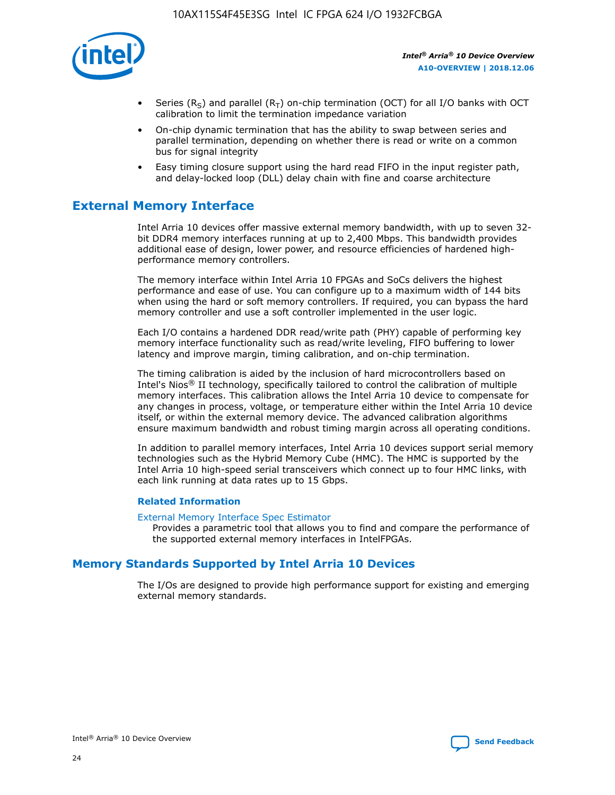

- Series (R<sub>S</sub>) and parallel (R<sub>T</sub>) on-chip termination (OCT) for all I/O banks with OCT calibration to limit the termination impedance variation
- On-chip dynamic termination that has the ability to swap between series and parallel termination, depending on whether there is read or write on a common bus for signal integrity
- Easy timing closure support using the hard read FIFO in the input register path, and delay-locked loop (DLL) delay chain with fine and coarse architecture

## **External Memory Interface**

Intel Arria 10 devices offer massive external memory bandwidth, with up to seven 32 bit DDR4 memory interfaces running at up to 2,400 Mbps. This bandwidth provides additional ease of design, lower power, and resource efficiencies of hardened highperformance memory controllers.

The memory interface within Intel Arria 10 FPGAs and SoCs delivers the highest performance and ease of use. You can configure up to a maximum width of 144 bits when using the hard or soft memory controllers. If required, you can bypass the hard memory controller and use a soft controller implemented in the user logic.

Each I/O contains a hardened DDR read/write path (PHY) capable of performing key memory interface functionality such as read/write leveling, FIFO buffering to lower latency and improve margin, timing calibration, and on-chip termination.

The timing calibration is aided by the inclusion of hard microcontrollers based on Intel's Nios® II technology, specifically tailored to control the calibration of multiple memory interfaces. This calibration allows the Intel Arria 10 device to compensate for any changes in process, voltage, or temperature either within the Intel Arria 10 device itself, or within the external memory device. The advanced calibration algorithms ensure maximum bandwidth and robust timing margin across all operating conditions.

In addition to parallel memory interfaces, Intel Arria 10 devices support serial memory technologies such as the Hybrid Memory Cube (HMC). The HMC is supported by the Intel Arria 10 high-speed serial transceivers which connect up to four HMC links, with each link running at data rates up to 15 Gbps.

#### **Related Information**

#### [External Memory Interface Spec Estimator](http://www.altera.com/technology/memory/estimator/mem-emif-index.html)

Provides a parametric tool that allows you to find and compare the performance of the supported external memory interfaces in IntelFPGAs.

## **Memory Standards Supported by Intel Arria 10 Devices**

The I/Os are designed to provide high performance support for existing and emerging external memory standards.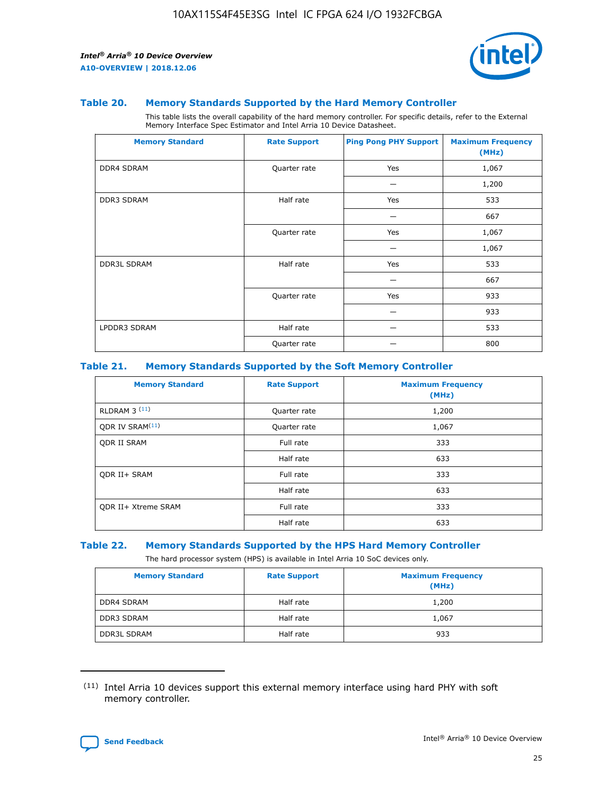

#### **Table 20. Memory Standards Supported by the Hard Memory Controller**

This table lists the overall capability of the hard memory controller. For specific details, refer to the External Memory Interface Spec Estimator and Intel Arria 10 Device Datasheet.

| <b>Memory Standard</b> | <b>Rate Support</b> | <b>Ping Pong PHY Support</b> | <b>Maximum Frequency</b><br>(MHz) |
|------------------------|---------------------|------------------------------|-----------------------------------|
| <b>DDR4 SDRAM</b>      | Quarter rate        | Yes                          | 1,067                             |
|                        |                     |                              | 1,200                             |
| DDR3 SDRAM             | Half rate           | Yes                          | 533                               |
|                        |                     |                              | 667                               |
|                        | Quarter rate        | Yes                          | 1,067                             |
|                        |                     |                              | 1,067                             |
| <b>DDR3L SDRAM</b>     | Half rate           | Yes                          | 533                               |
|                        |                     |                              | 667                               |
|                        | Quarter rate        | Yes                          | 933                               |
|                        |                     |                              | 933                               |
| LPDDR3 SDRAM           | Half rate           |                              | 533                               |
|                        | Quarter rate        |                              | 800                               |

#### **Table 21. Memory Standards Supported by the Soft Memory Controller**

| <b>Memory Standard</b>      | <b>Rate Support</b> | <b>Maximum Frequency</b><br>(MHz) |
|-----------------------------|---------------------|-----------------------------------|
| <b>RLDRAM 3 (11)</b>        | Quarter rate        | 1,200                             |
| ODR IV SRAM <sup>(11)</sup> | Quarter rate        | 1,067                             |
| <b>ODR II SRAM</b>          | Full rate           | 333                               |
|                             | Half rate           | 633                               |
| <b>ODR II+ SRAM</b>         | Full rate           | 333                               |
|                             | Half rate           | 633                               |
| <b>ODR II+ Xtreme SRAM</b>  | Full rate           | 333                               |
|                             | Half rate           | 633                               |

#### **Table 22. Memory Standards Supported by the HPS Hard Memory Controller**

The hard processor system (HPS) is available in Intel Arria 10 SoC devices only.

| <b>Memory Standard</b> | <b>Rate Support</b> | <b>Maximum Frequency</b><br>(MHz) |
|------------------------|---------------------|-----------------------------------|
| <b>DDR4 SDRAM</b>      | Half rate           | 1,200                             |
| <b>DDR3 SDRAM</b>      | Half rate           | 1,067                             |
| <b>DDR3L SDRAM</b>     | Half rate           | 933                               |

<sup>(11)</sup> Intel Arria 10 devices support this external memory interface using hard PHY with soft memory controller.

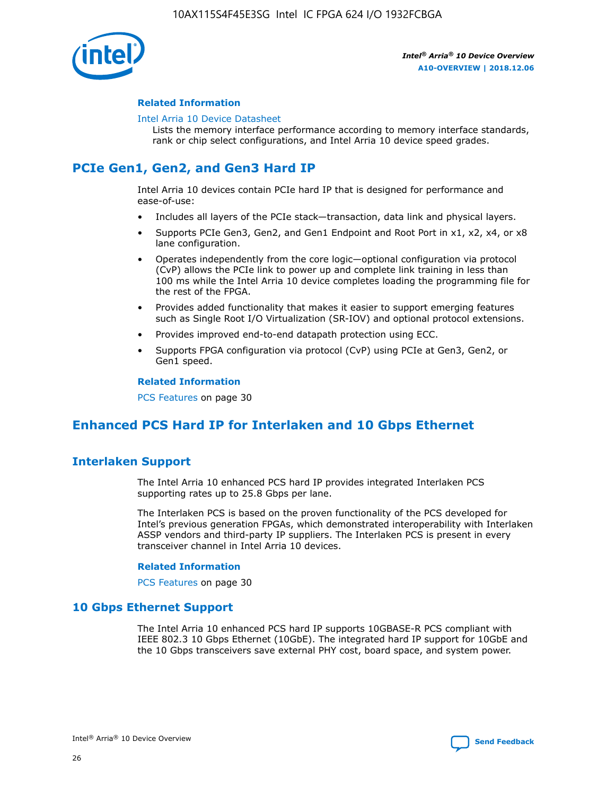

#### **Related Information**

#### [Intel Arria 10 Device Datasheet](https://www.intel.com/content/www/us/en/programmable/documentation/mcn1413182292568.html#mcn1413182153340)

Lists the memory interface performance according to memory interface standards, rank or chip select configurations, and Intel Arria 10 device speed grades.

## **PCIe Gen1, Gen2, and Gen3 Hard IP**

Intel Arria 10 devices contain PCIe hard IP that is designed for performance and ease-of-use:

- Includes all layers of the PCIe stack—transaction, data link and physical layers.
- Supports PCIe Gen3, Gen2, and Gen1 Endpoint and Root Port in x1, x2, x4, or x8 lane configuration.
- Operates independently from the core logic—optional configuration via protocol (CvP) allows the PCIe link to power up and complete link training in less than 100 ms while the Intel Arria 10 device completes loading the programming file for the rest of the FPGA.
- Provides added functionality that makes it easier to support emerging features such as Single Root I/O Virtualization (SR-IOV) and optional protocol extensions.
- Provides improved end-to-end datapath protection using ECC.
- Supports FPGA configuration via protocol (CvP) using PCIe at Gen3, Gen2, or Gen1 speed.

#### **Related Information**

PCS Features on page 30

## **Enhanced PCS Hard IP for Interlaken and 10 Gbps Ethernet**

## **Interlaken Support**

The Intel Arria 10 enhanced PCS hard IP provides integrated Interlaken PCS supporting rates up to 25.8 Gbps per lane.

The Interlaken PCS is based on the proven functionality of the PCS developed for Intel's previous generation FPGAs, which demonstrated interoperability with Interlaken ASSP vendors and third-party IP suppliers. The Interlaken PCS is present in every transceiver channel in Intel Arria 10 devices.

#### **Related Information**

PCS Features on page 30

#### **10 Gbps Ethernet Support**

The Intel Arria 10 enhanced PCS hard IP supports 10GBASE-R PCS compliant with IEEE 802.3 10 Gbps Ethernet (10GbE). The integrated hard IP support for 10GbE and the 10 Gbps transceivers save external PHY cost, board space, and system power.

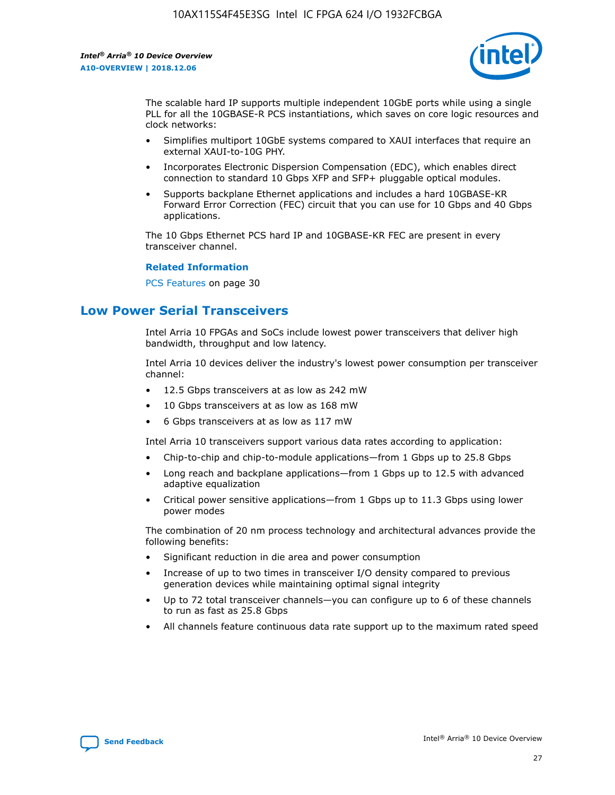

The scalable hard IP supports multiple independent 10GbE ports while using a single PLL for all the 10GBASE-R PCS instantiations, which saves on core logic resources and clock networks:

- Simplifies multiport 10GbE systems compared to XAUI interfaces that require an external XAUI-to-10G PHY.
- Incorporates Electronic Dispersion Compensation (EDC), which enables direct connection to standard 10 Gbps XFP and SFP+ pluggable optical modules.
- Supports backplane Ethernet applications and includes a hard 10GBASE-KR Forward Error Correction (FEC) circuit that you can use for 10 Gbps and 40 Gbps applications.

The 10 Gbps Ethernet PCS hard IP and 10GBASE-KR FEC are present in every transceiver channel.

#### **Related Information**

PCS Features on page 30

## **Low Power Serial Transceivers**

Intel Arria 10 FPGAs and SoCs include lowest power transceivers that deliver high bandwidth, throughput and low latency.

Intel Arria 10 devices deliver the industry's lowest power consumption per transceiver channel:

- 12.5 Gbps transceivers at as low as 242 mW
- 10 Gbps transceivers at as low as 168 mW
- 6 Gbps transceivers at as low as 117 mW

Intel Arria 10 transceivers support various data rates according to application:

- Chip-to-chip and chip-to-module applications—from 1 Gbps up to 25.8 Gbps
- Long reach and backplane applications—from 1 Gbps up to 12.5 with advanced adaptive equalization
- Critical power sensitive applications—from 1 Gbps up to 11.3 Gbps using lower power modes

The combination of 20 nm process technology and architectural advances provide the following benefits:

- Significant reduction in die area and power consumption
- Increase of up to two times in transceiver I/O density compared to previous generation devices while maintaining optimal signal integrity
- Up to 72 total transceiver channels—you can configure up to 6 of these channels to run as fast as 25.8 Gbps
- All channels feature continuous data rate support up to the maximum rated speed

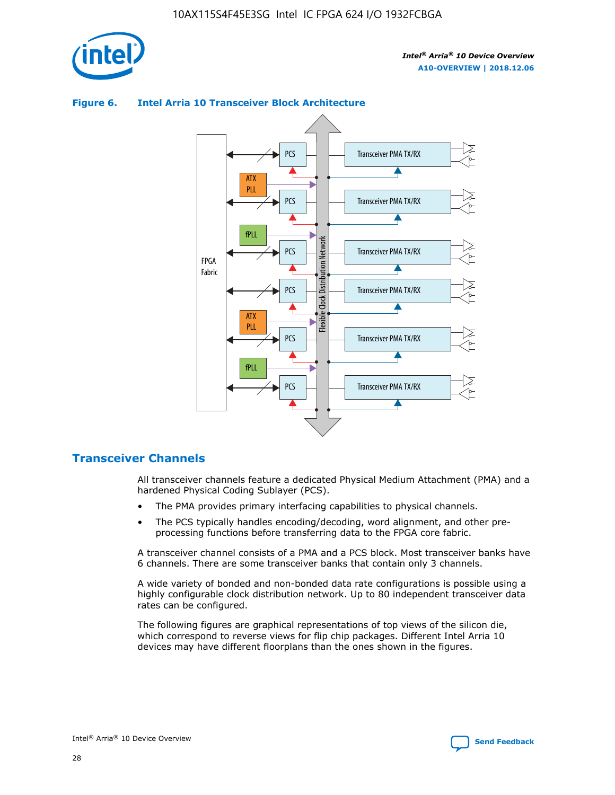

#### Transceiver PMA TX/RX PCS ATX PLL Transceiver PMA TX/RX PCS fPLL Network Flexible Clock Distribution Network PCS Transceiver PMA TX/RX FPGA **Clock Distribution** Fabric PCS Transceiver PMA TX/RX ATX Flexible PLL PCS Transceiver PMA TX/RX ▲ fPLL Transceiver PMA TX/RX PCS 4

#### **Figure 6. Intel Arria 10 Transceiver Block Architecture**

#### **Transceiver Channels**

All transceiver channels feature a dedicated Physical Medium Attachment (PMA) and a hardened Physical Coding Sublayer (PCS).

- The PMA provides primary interfacing capabilities to physical channels.
- The PCS typically handles encoding/decoding, word alignment, and other preprocessing functions before transferring data to the FPGA core fabric.

A transceiver channel consists of a PMA and a PCS block. Most transceiver banks have 6 channels. There are some transceiver banks that contain only 3 channels.

A wide variety of bonded and non-bonded data rate configurations is possible using a highly configurable clock distribution network. Up to 80 independent transceiver data rates can be configured.

The following figures are graphical representations of top views of the silicon die, which correspond to reverse views for flip chip packages. Different Intel Arria 10 devices may have different floorplans than the ones shown in the figures.

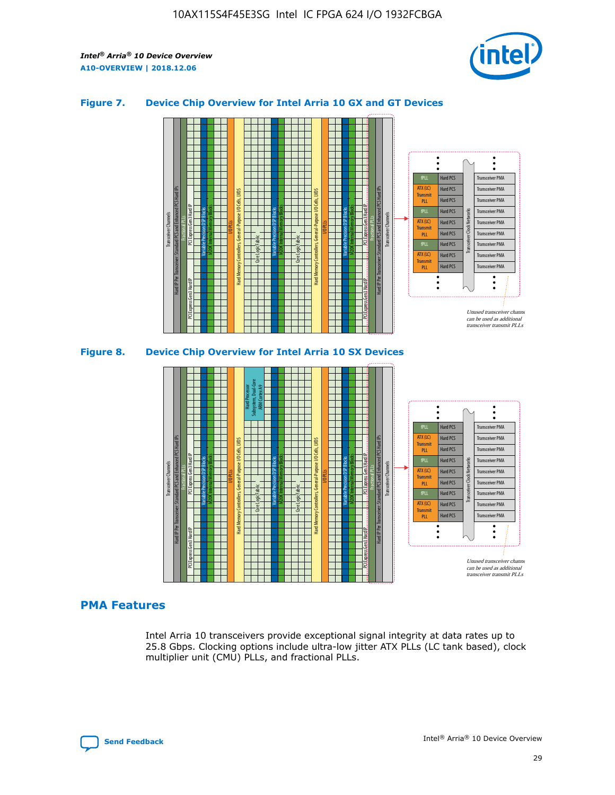

#### **Figure 7. Device Chip Overview for Intel Arria 10 GX and GT Devices**





#### **PMA Features**

Intel Arria 10 transceivers provide exceptional signal integrity at data rates up to 25.8 Gbps. Clocking options include ultra-low jitter ATX PLLs (LC tank based), clock multiplier unit (CMU) PLLs, and fractional PLLs.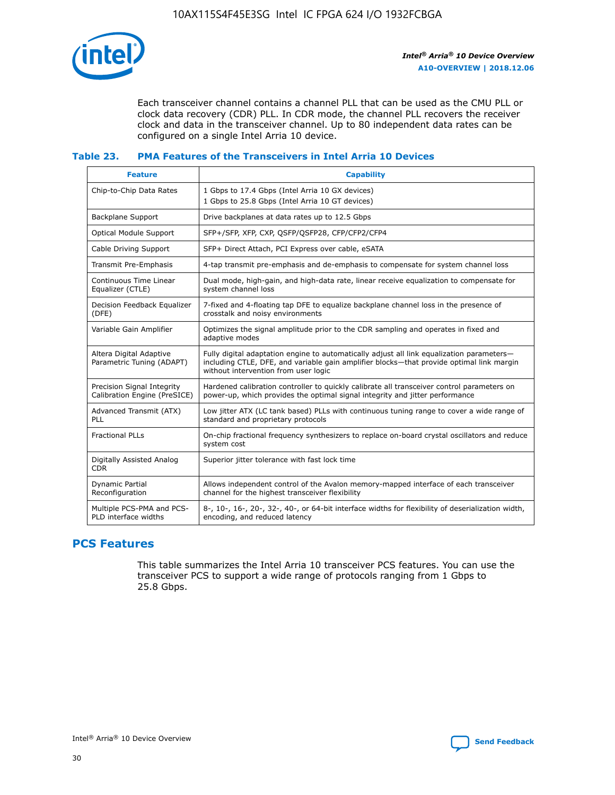

Each transceiver channel contains a channel PLL that can be used as the CMU PLL or clock data recovery (CDR) PLL. In CDR mode, the channel PLL recovers the receiver clock and data in the transceiver channel. Up to 80 independent data rates can be configured on a single Intel Arria 10 device.

#### **Table 23. PMA Features of the Transceivers in Intel Arria 10 Devices**

| <b>Feature</b>                                             | <b>Capability</b>                                                                                                                                                                                                             |
|------------------------------------------------------------|-------------------------------------------------------------------------------------------------------------------------------------------------------------------------------------------------------------------------------|
| Chip-to-Chip Data Rates                                    | 1 Gbps to 17.4 Gbps (Intel Arria 10 GX devices)<br>1 Gbps to 25.8 Gbps (Intel Arria 10 GT devices)                                                                                                                            |
| Backplane Support                                          | Drive backplanes at data rates up to 12.5 Gbps                                                                                                                                                                                |
| Optical Module Support                                     | SFP+/SFP, XFP, CXP, QSFP/QSFP28, CFP/CFP2/CFP4                                                                                                                                                                                |
| Cable Driving Support                                      | SFP+ Direct Attach, PCI Express over cable, eSATA                                                                                                                                                                             |
| Transmit Pre-Emphasis                                      | 4-tap transmit pre-emphasis and de-emphasis to compensate for system channel loss                                                                                                                                             |
| Continuous Time Linear<br>Equalizer (CTLE)                 | Dual mode, high-gain, and high-data rate, linear receive equalization to compensate for<br>system channel loss                                                                                                                |
| Decision Feedback Equalizer<br>(DFE)                       | 7-fixed and 4-floating tap DFE to equalize backplane channel loss in the presence of<br>crosstalk and noisy environments                                                                                                      |
| Variable Gain Amplifier                                    | Optimizes the signal amplitude prior to the CDR sampling and operates in fixed and<br>adaptive modes                                                                                                                          |
| Altera Digital Adaptive<br>Parametric Tuning (ADAPT)       | Fully digital adaptation engine to automatically adjust all link equalization parameters-<br>including CTLE, DFE, and variable gain amplifier blocks—that provide optimal link margin<br>without intervention from user logic |
| Precision Signal Integrity<br>Calibration Engine (PreSICE) | Hardened calibration controller to quickly calibrate all transceiver control parameters on<br>power-up, which provides the optimal signal integrity and jitter performance                                                    |
| Advanced Transmit (ATX)<br><b>PLL</b>                      | Low jitter ATX (LC tank based) PLLs with continuous tuning range to cover a wide range of<br>standard and proprietary protocols                                                                                               |
| <b>Fractional PLLs</b>                                     | On-chip fractional frequency synthesizers to replace on-board crystal oscillators and reduce<br>system cost                                                                                                                   |
| Digitally Assisted Analog<br><b>CDR</b>                    | Superior jitter tolerance with fast lock time                                                                                                                                                                                 |
| Dynamic Partial<br>Reconfiguration                         | Allows independent control of the Avalon memory-mapped interface of each transceiver<br>channel for the highest transceiver flexibility                                                                                       |
| Multiple PCS-PMA and PCS-<br>PLD interface widths          | 8-, 10-, 16-, 20-, 32-, 40-, or 64-bit interface widths for flexibility of deserialization width,<br>encoding, and reduced latency                                                                                            |

## **PCS Features**

This table summarizes the Intel Arria 10 transceiver PCS features. You can use the transceiver PCS to support a wide range of protocols ranging from 1 Gbps to 25.8 Gbps.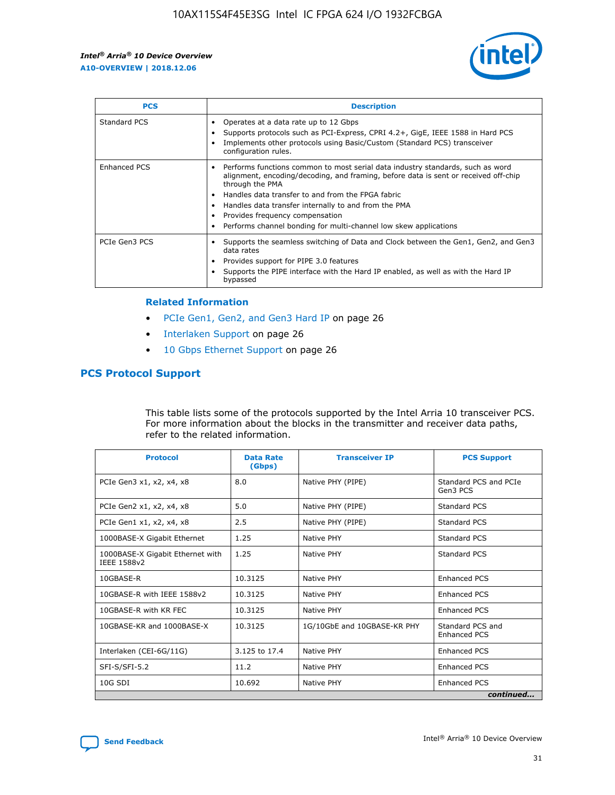

| <b>PCS</b>    | <b>Description</b>                                                                                                                                                                                                                                                                                                                                                                                             |
|---------------|----------------------------------------------------------------------------------------------------------------------------------------------------------------------------------------------------------------------------------------------------------------------------------------------------------------------------------------------------------------------------------------------------------------|
| Standard PCS  | Operates at a data rate up to 12 Gbps<br>Supports protocols such as PCI-Express, CPRI 4.2+, GigE, IEEE 1588 in Hard PCS<br>Implements other protocols using Basic/Custom (Standard PCS) transceiver<br>configuration rules.                                                                                                                                                                                    |
| Enhanced PCS  | Performs functions common to most serial data industry standards, such as word<br>alignment, encoding/decoding, and framing, before data is sent or received off-chip<br>through the PMA<br>• Handles data transfer to and from the FPGA fabric<br>Handles data transfer internally to and from the PMA<br>Provides frequency compensation<br>Performs channel bonding for multi-channel low skew applications |
| PCIe Gen3 PCS | Supports the seamless switching of Data and Clock between the Gen1, Gen2, and Gen3<br>data rates<br>Provides support for PIPE 3.0 features<br>Supports the PIPE interface with the Hard IP enabled, as well as with the Hard IP<br>bypassed                                                                                                                                                                    |

#### **Related Information**

- PCIe Gen1, Gen2, and Gen3 Hard IP on page 26
- Interlaken Support on page 26
- 10 Gbps Ethernet Support on page 26

#### **PCS Protocol Support**

This table lists some of the protocols supported by the Intel Arria 10 transceiver PCS. For more information about the blocks in the transmitter and receiver data paths, refer to the related information.

| <b>Protocol</b>                                 | <b>Data Rate</b><br>(Gbps) | <b>Transceiver IP</b>       | <b>PCS Support</b>                      |
|-------------------------------------------------|----------------------------|-----------------------------|-----------------------------------------|
| PCIe Gen3 x1, x2, x4, x8                        | 8.0                        | Native PHY (PIPE)           | Standard PCS and PCIe<br>Gen3 PCS       |
| PCIe Gen2 x1, x2, x4, x8                        | 5.0                        | Native PHY (PIPE)           | <b>Standard PCS</b>                     |
| PCIe Gen1 x1, x2, x4, x8                        | 2.5                        | Native PHY (PIPE)           | Standard PCS                            |
| 1000BASE-X Gigabit Ethernet                     | 1.25                       | Native PHY                  | <b>Standard PCS</b>                     |
| 1000BASE-X Gigabit Ethernet with<br>IEEE 1588v2 | 1.25                       | Native PHY                  | Standard PCS                            |
| 10GBASE-R                                       | 10.3125                    | Native PHY                  | <b>Enhanced PCS</b>                     |
| 10GBASE-R with IEEE 1588v2                      | 10.3125                    | Native PHY                  | <b>Enhanced PCS</b>                     |
| 10GBASE-R with KR FEC                           | 10.3125                    | Native PHY                  | <b>Enhanced PCS</b>                     |
| 10GBASE-KR and 1000BASE-X                       | 10.3125                    | 1G/10GbE and 10GBASE-KR PHY | Standard PCS and<br><b>Enhanced PCS</b> |
| Interlaken (CEI-6G/11G)                         | 3.125 to 17.4              | Native PHY                  | <b>Enhanced PCS</b>                     |
| SFI-S/SFI-5.2                                   | 11.2                       | Native PHY                  | <b>Enhanced PCS</b>                     |
| $10G$ SDI                                       | 10.692                     | Native PHY                  | <b>Enhanced PCS</b>                     |
|                                                 |                            |                             | continued                               |

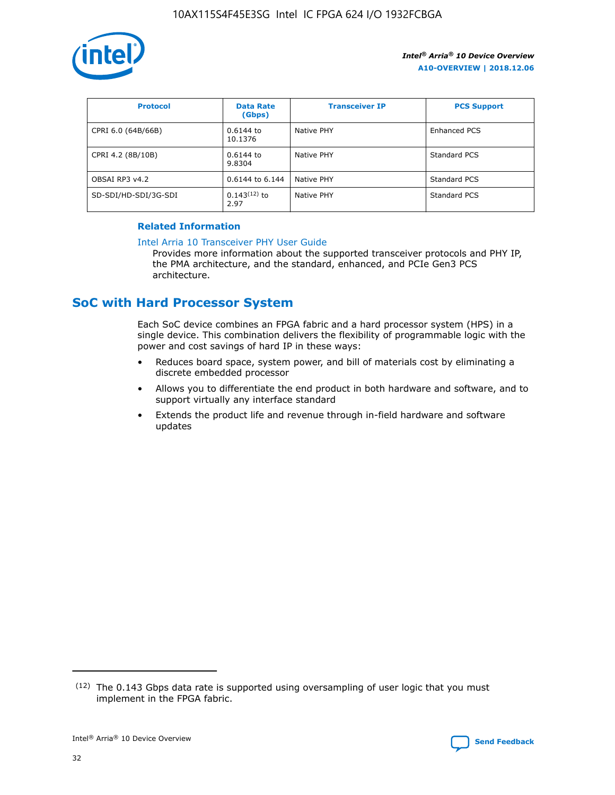

| <b>Protocol</b>      | <b>Data Rate</b><br>(Gbps) | <b>Transceiver IP</b> | <b>PCS Support</b> |
|----------------------|----------------------------|-----------------------|--------------------|
| CPRI 6.0 (64B/66B)   | 0.6144 to<br>10.1376       | Native PHY            | Enhanced PCS       |
| CPRI 4.2 (8B/10B)    | 0.6144 to<br>9.8304        | Native PHY            | Standard PCS       |
| OBSAI RP3 v4.2       | 0.6144 to 6.144            | Native PHY            | Standard PCS       |
| SD-SDI/HD-SDI/3G-SDI | $0.143(12)$ to<br>2.97     | Native PHY            | Standard PCS       |

#### **Related Information**

#### [Intel Arria 10 Transceiver PHY User Guide](https://www.intel.com/content/www/us/en/programmable/documentation/nik1398707230472.html#nik1398707091164)

Provides more information about the supported transceiver protocols and PHY IP, the PMA architecture, and the standard, enhanced, and PCIe Gen3 PCS architecture.

## **SoC with Hard Processor System**

Each SoC device combines an FPGA fabric and a hard processor system (HPS) in a single device. This combination delivers the flexibility of programmable logic with the power and cost savings of hard IP in these ways:

- Reduces board space, system power, and bill of materials cost by eliminating a discrete embedded processor
- Allows you to differentiate the end product in both hardware and software, and to support virtually any interface standard
- Extends the product life and revenue through in-field hardware and software updates

 $(12)$  The 0.143 Gbps data rate is supported using oversampling of user logic that you must implement in the FPGA fabric.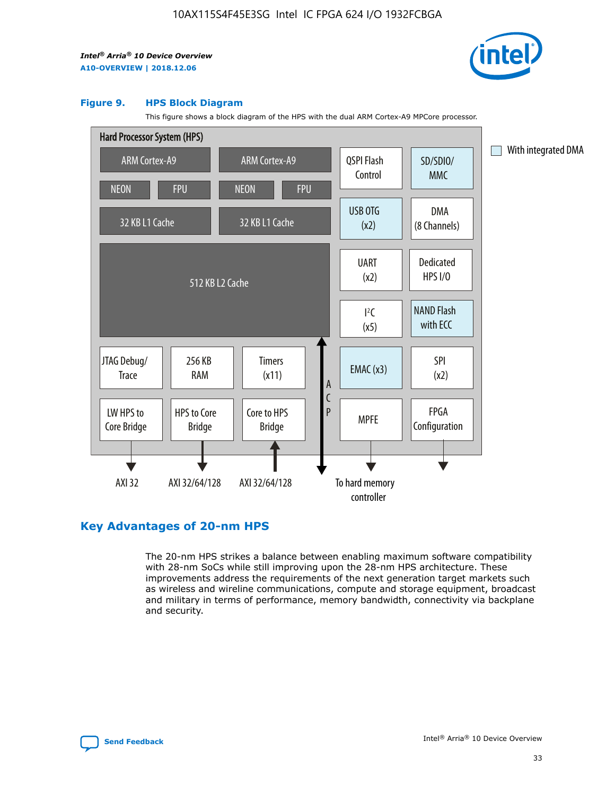

#### **Figure 9. HPS Block Diagram**

This figure shows a block diagram of the HPS with the dual ARM Cortex-A9 MPCore processor.



## **Key Advantages of 20-nm HPS**

The 20-nm HPS strikes a balance between enabling maximum software compatibility with 28-nm SoCs while still improving upon the 28-nm HPS architecture. These improvements address the requirements of the next generation target markets such as wireless and wireline communications, compute and storage equipment, broadcast and military in terms of performance, memory bandwidth, connectivity via backplane and security.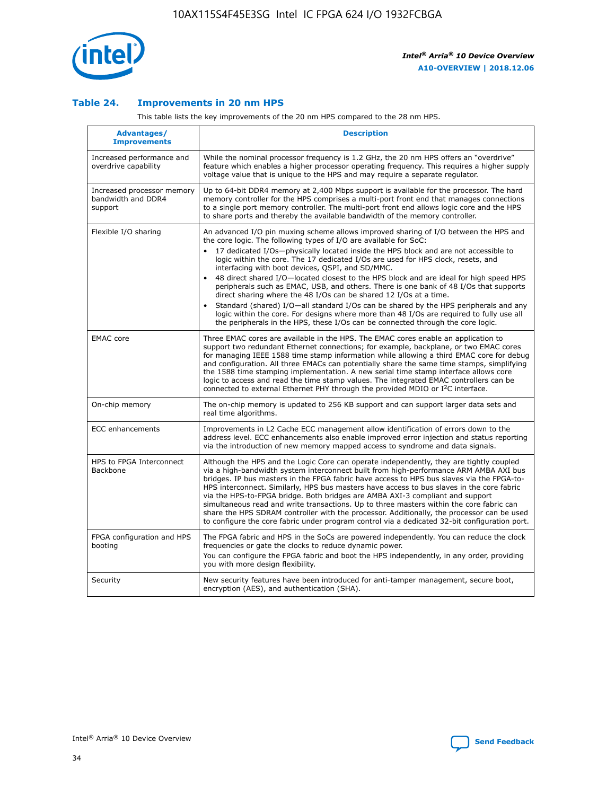

#### **Table 24. Improvements in 20 nm HPS**

This table lists the key improvements of the 20 nm HPS compared to the 28 nm HPS.

| Advantages/<br><b>Improvements</b>                          | <b>Description</b>                                                                                                                                                                                                                                                                                                                                                                                                                                                                                                                                                                                                                                                                                                                                                                                                                                                                                                      |
|-------------------------------------------------------------|-------------------------------------------------------------------------------------------------------------------------------------------------------------------------------------------------------------------------------------------------------------------------------------------------------------------------------------------------------------------------------------------------------------------------------------------------------------------------------------------------------------------------------------------------------------------------------------------------------------------------------------------------------------------------------------------------------------------------------------------------------------------------------------------------------------------------------------------------------------------------------------------------------------------------|
| Increased performance and<br>overdrive capability           | While the nominal processor frequency is 1.2 GHz, the 20 nm HPS offers an "overdrive"<br>feature which enables a higher processor operating frequency. This requires a higher supply<br>voltage value that is unique to the HPS and may require a separate regulator.                                                                                                                                                                                                                                                                                                                                                                                                                                                                                                                                                                                                                                                   |
| Increased processor memory<br>bandwidth and DDR4<br>support | Up to 64-bit DDR4 memory at 2,400 Mbps support is available for the processor. The hard<br>memory controller for the HPS comprises a multi-port front end that manages connections<br>to a single port memory controller. The multi-port front end allows logic core and the HPS<br>to share ports and thereby the available bandwidth of the memory controller.                                                                                                                                                                                                                                                                                                                                                                                                                                                                                                                                                        |
| Flexible I/O sharing                                        | An advanced I/O pin muxing scheme allows improved sharing of I/O between the HPS and<br>the core logic. The following types of I/O are available for SoC:<br>17 dedicated I/Os-physically located inside the HPS block and are not accessible to<br>logic within the core. The 17 dedicated I/Os are used for HPS clock, resets, and<br>interfacing with boot devices, QSPI, and SD/MMC.<br>48 direct shared I/O-located closest to the HPS block and are ideal for high speed HPS<br>peripherals such as EMAC, USB, and others. There is one bank of 48 I/Os that supports<br>direct sharing where the 48 I/Os can be shared 12 I/Os at a time.<br>Standard (shared) I/O—all standard I/Os can be shared by the HPS peripherals and any<br>logic within the core. For designs where more than 48 I/Os are required to fully use all<br>the peripherals in the HPS, these I/Os can be connected through the core logic. |
| <b>EMAC</b> core                                            | Three EMAC cores are available in the HPS. The EMAC cores enable an application to<br>support two redundant Ethernet connections; for example, backplane, or two EMAC cores<br>for managing IEEE 1588 time stamp information while allowing a third EMAC core for debug<br>and configuration. All three EMACs can potentially share the same time stamps, simplifying<br>the 1588 time stamping implementation. A new serial time stamp interface allows core<br>logic to access and read the time stamp values. The integrated EMAC controllers can be<br>connected to external Ethernet PHY through the provided MDIO or I <sup>2</sup> C interface.                                                                                                                                                                                                                                                                  |
| On-chip memory                                              | The on-chip memory is updated to 256 KB support and can support larger data sets and<br>real time algorithms.                                                                                                                                                                                                                                                                                                                                                                                                                                                                                                                                                                                                                                                                                                                                                                                                           |
| <b>ECC</b> enhancements                                     | Improvements in L2 Cache ECC management allow identification of errors down to the<br>address level. ECC enhancements also enable improved error injection and status reporting<br>via the introduction of new memory mapped access to syndrome and data signals.                                                                                                                                                                                                                                                                                                                                                                                                                                                                                                                                                                                                                                                       |
| HPS to FPGA Interconnect<br><b>Backbone</b>                 | Although the HPS and the Logic Core can operate independently, they are tightly coupled<br>via a high-bandwidth system interconnect built from high-performance ARM AMBA AXI bus<br>bridges. IP bus masters in the FPGA fabric have access to HPS bus slaves via the FPGA-to-<br>HPS interconnect. Similarly, HPS bus masters have access to bus slaves in the core fabric<br>via the HPS-to-FPGA bridge. Both bridges are AMBA AXI-3 compliant and support<br>simultaneous read and write transactions. Up to three masters within the core fabric can<br>share the HPS SDRAM controller with the processor. Additionally, the processor can be used<br>to configure the core fabric under program control via a dedicated 32-bit configuration port.                                                                                                                                                                  |
| FPGA configuration and HPS<br>booting                       | The FPGA fabric and HPS in the SoCs are powered independently. You can reduce the clock<br>frequencies or gate the clocks to reduce dynamic power.<br>You can configure the FPGA fabric and boot the HPS independently, in any order, providing<br>you with more design flexibility.                                                                                                                                                                                                                                                                                                                                                                                                                                                                                                                                                                                                                                    |
| Security                                                    | New security features have been introduced for anti-tamper management, secure boot,<br>encryption (AES), and authentication (SHA).                                                                                                                                                                                                                                                                                                                                                                                                                                                                                                                                                                                                                                                                                                                                                                                      |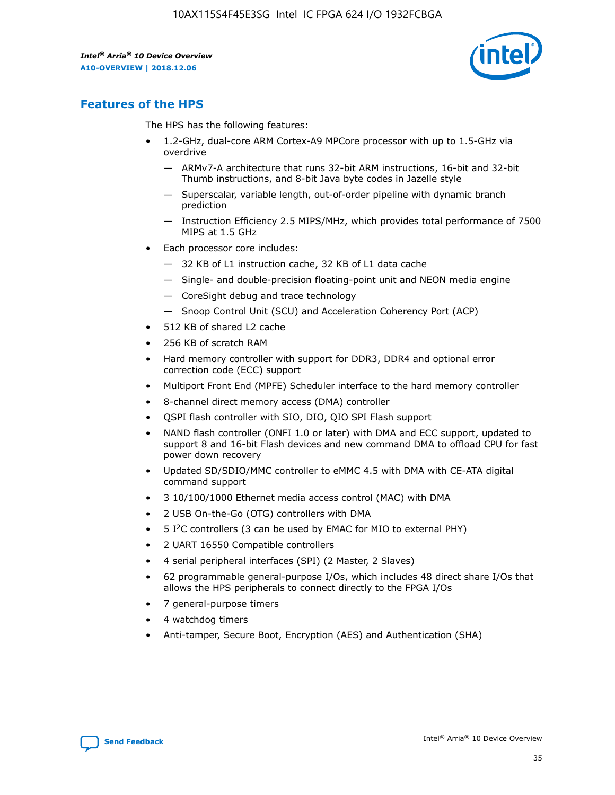

## **Features of the HPS**

The HPS has the following features:

- 1.2-GHz, dual-core ARM Cortex-A9 MPCore processor with up to 1.5-GHz via overdrive
	- ARMv7-A architecture that runs 32-bit ARM instructions, 16-bit and 32-bit Thumb instructions, and 8-bit Java byte codes in Jazelle style
	- Superscalar, variable length, out-of-order pipeline with dynamic branch prediction
	- Instruction Efficiency 2.5 MIPS/MHz, which provides total performance of 7500 MIPS at 1.5 GHz
- Each processor core includes:
	- 32 KB of L1 instruction cache, 32 KB of L1 data cache
	- Single- and double-precision floating-point unit and NEON media engine
	- CoreSight debug and trace technology
	- Snoop Control Unit (SCU) and Acceleration Coherency Port (ACP)
- 512 KB of shared L2 cache
- 256 KB of scratch RAM
- Hard memory controller with support for DDR3, DDR4 and optional error correction code (ECC) support
- Multiport Front End (MPFE) Scheduler interface to the hard memory controller
- 8-channel direct memory access (DMA) controller
- QSPI flash controller with SIO, DIO, QIO SPI Flash support
- NAND flash controller (ONFI 1.0 or later) with DMA and ECC support, updated to support 8 and 16-bit Flash devices and new command DMA to offload CPU for fast power down recovery
- Updated SD/SDIO/MMC controller to eMMC 4.5 with DMA with CE-ATA digital command support
- 3 10/100/1000 Ethernet media access control (MAC) with DMA
- 2 USB On-the-Go (OTG) controllers with DMA
- $\bullet$  5 I<sup>2</sup>C controllers (3 can be used by EMAC for MIO to external PHY)
- 2 UART 16550 Compatible controllers
- 4 serial peripheral interfaces (SPI) (2 Master, 2 Slaves)
- 62 programmable general-purpose I/Os, which includes 48 direct share I/Os that allows the HPS peripherals to connect directly to the FPGA I/Os
- 7 general-purpose timers
- 4 watchdog timers
- Anti-tamper, Secure Boot, Encryption (AES) and Authentication (SHA)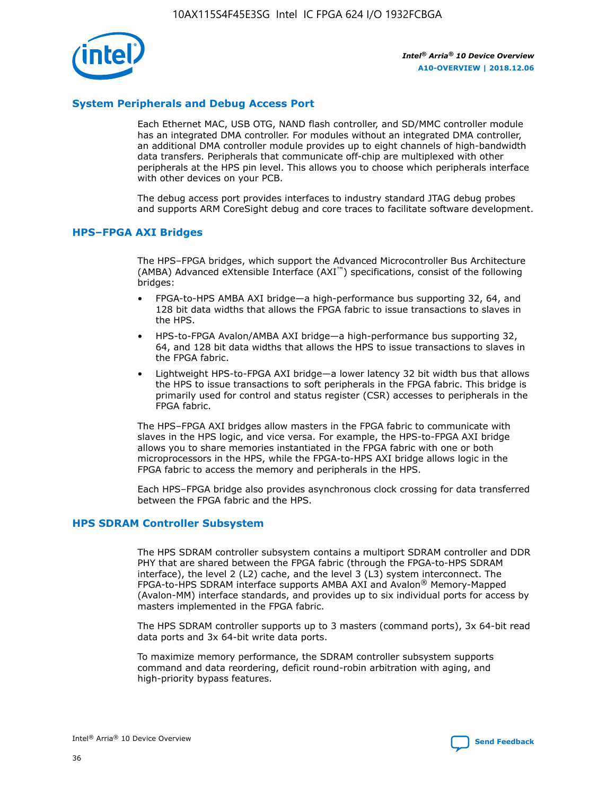

#### **System Peripherals and Debug Access Port**

Each Ethernet MAC, USB OTG, NAND flash controller, and SD/MMC controller module has an integrated DMA controller. For modules without an integrated DMA controller, an additional DMA controller module provides up to eight channels of high-bandwidth data transfers. Peripherals that communicate off-chip are multiplexed with other peripherals at the HPS pin level. This allows you to choose which peripherals interface with other devices on your PCB.

The debug access port provides interfaces to industry standard JTAG debug probes and supports ARM CoreSight debug and core traces to facilitate software development.

#### **HPS–FPGA AXI Bridges**

The HPS–FPGA bridges, which support the Advanced Microcontroller Bus Architecture (AMBA) Advanced eXtensible Interface (AXI™) specifications, consist of the following bridges:

- FPGA-to-HPS AMBA AXI bridge—a high-performance bus supporting 32, 64, and 128 bit data widths that allows the FPGA fabric to issue transactions to slaves in the HPS.
- HPS-to-FPGA Avalon/AMBA AXI bridge—a high-performance bus supporting 32, 64, and 128 bit data widths that allows the HPS to issue transactions to slaves in the FPGA fabric.
- Lightweight HPS-to-FPGA AXI bridge—a lower latency 32 bit width bus that allows the HPS to issue transactions to soft peripherals in the FPGA fabric. This bridge is primarily used for control and status register (CSR) accesses to peripherals in the FPGA fabric.

The HPS–FPGA AXI bridges allow masters in the FPGA fabric to communicate with slaves in the HPS logic, and vice versa. For example, the HPS-to-FPGA AXI bridge allows you to share memories instantiated in the FPGA fabric with one or both microprocessors in the HPS, while the FPGA-to-HPS AXI bridge allows logic in the FPGA fabric to access the memory and peripherals in the HPS.

Each HPS–FPGA bridge also provides asynchronous clock crossing for data transferred between the FPGA fabric and the HPS.

#### **HPS SDRAM Controller Subsystem**

The HPS SDRAM controller subsystem contains a multiport SDRAM controller and DDR PHY that are shared between the FPGA fabric (through the FPGA-to-HPS SDRAM interface), the level 2 (L2) cache, and the level 3 (L3) system interconnect. The FPGA-to-HPS SDRAM interface supports AMBA AXI and Avalon® Memory-Mapped (Avalon-MM) interface standards, and provides up to six individual ports for access by masters implemented in the FPGA fabric.

The HPS SDRAM controller supports up to 3 masters (command ports), 3x 64-bit read data ports and 3x 64-bit write data ports.

To maximize memory performance, the SDRAM controller subsystem supports command and data reordering, deficit round-robin arbitration with aging, and high-priority bypass features.

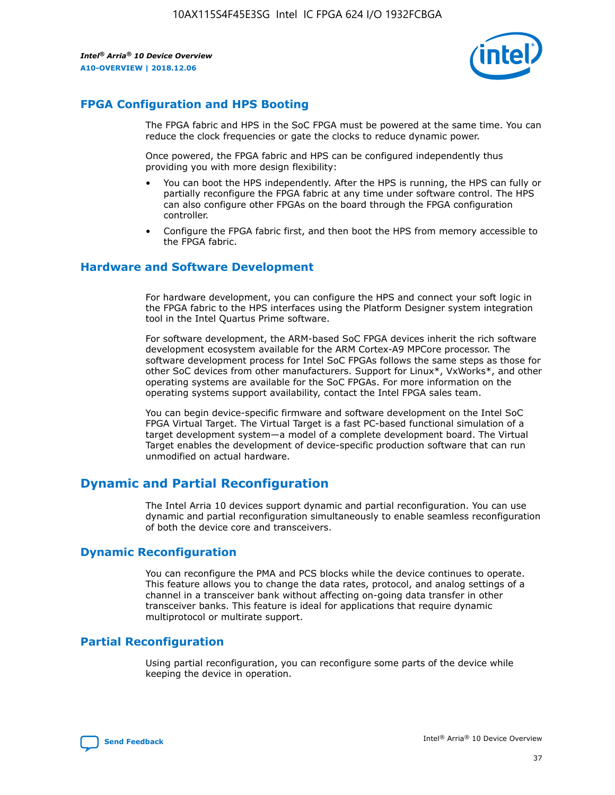

## **FPGA Configuration and HPS Booting**

The FPGA fabric and HPS in the SoC FPGA must be powered at the same time. You can reduce the clock frequencies or gate the clocks to reduce dynamic power.

Once powered, the FPGA fabric and HPS can be configured independently thus providing you with more design flexibility:

- You can boot the HPS independently. After the HPS is running, the HPS can fully or partially reconfigure the FPGA fabric at any time under software control. The HPS can also configure other FPGAs on the board through the FPGA configuration controller.
- Configure the FPGA fabric first, and then boot the HPS from memory accessible to the FPGA fabric.

#### **Hardware and Software Development**

For hardware development, you can configure the HPS and connect your soft logic in the FPGA fabric to the HPS interfaces using the Platform Designer system integration tool in the Intel Quartus Prime software.

For software development, the ARM-based SoC FPGA devices inherit the rich software development ecosystem available for the ARM Cortex-A9 MPCore processor. The software development process for Intel SoC FPGAs follows the same steps as those for other SoC devices from other manufacturers. Support for Linux\*, VxWorks\*, and other operating systems are available for the SoC FPGAs. For more information on the operating systems support availability, contact the Intel FPGA sales team.

You can begin device-specific firmware and software development on the Intel SoC FPGA Virtual Target. The Virtual Target is a fast PC-based functional simulation of a target development system—a model of a complete development board. The Virtual Target enables the development of device-specific production software that can run unmodified on actual hardware.

## **Dynamic and Partial Reconfiguration**

The Intel Arria 10 devices support dynamic and partial reconfiguration. You can use dynamic and partial reconfiguration simultaneously to enable seamless reconfiguration of both the device core and transceivers.

## **Dynamic Reconfiguration**

You can reconfigure the PMA and PCS blocks while the device continues to operate. This feature allows you to change the data rates, protocol, and analog settings of a channel in a transceiver bank without affecting on-going data transfer in other transceiver banks. This feature is ideal for applications that require dynamic multiprotocol or multirate support.

## **Partial Reconfiguration**

Using partial reconfiguration, you can reconfigure some parts of the device while keeping the device in operation.

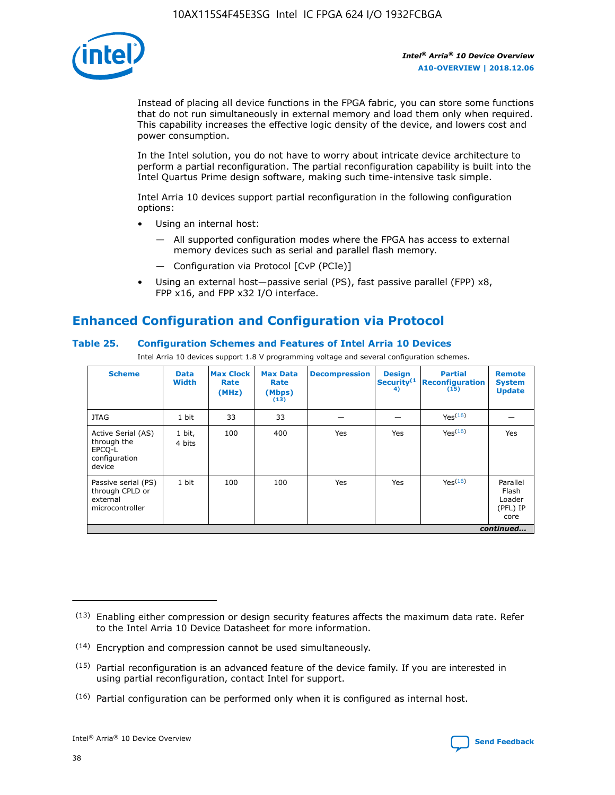

Instead of placing all device functions in the FPGA fabric, you can store some functions that do not run simultaneously in external memory and load them only when required. This capability increases the effective logic density of the device, and lowers cost and power consumption.

In the Intel solution, you do not have to worry about intricate device architecture to perform a partial reconfiguration. The partial reconfiguration capability is built into the Intel Quartus Prime design software, making such time-intensive task simple.

Intel Arria 10 devices support partial reconfiguration in the following configuration options:

- Using an internal host:
	- All supported configuration modes where the FPGA has access to external memory devices such as serial and parallel flash memory.
	- Configuration via Protocol [CvP (PCIe)]
- Using an external host—passive serial (PS), fast passive parallel (FPP) x8, FPP x16, and FPP x32 I/O interface.

## **Enhanced Configuration and Configuration via Protocol**

#### **Table 25. Configuration Schemes and Features of Intel Arria 10 Devices**

Intel Arria 10 devices support 1.8 V programming voltage and several configuration schemes.

| <b>Scheme</b>                                                          | <b>Data</b><br><b>Width</b> | <b>Max Clock</b><br>Rate<br>(MHz) | <b>Max Data</b><br>Rate<br>(Mbps)<br>(13) | <b>Decompression</b> | <b>Design</b><br>Security <sup>(1</sup><br>4) | <b>Partial</b><br>Reconfiguration<br>(15) | <b>Remote</b><br><b>System</b><br><b>Update</b> |
|------------------------------------------------------------------------|-----------------------------|-----------------------------------|-------------------------------------------|----------------------|-----------------------------------------------|-------------------------------------------|-------------------------------------------------|
| <b>JTAG</b>                                                            | 1 bit                       | 33                                | 33                                        |                      |                                               | Yes(16)                                   |                                                 |
| Active Serial (AS)<br>through the<br>EPCO-L<br>configuration<br>device | 1 bit,<br>4 bits            | 100                               | 400                                       | Yes                  | Yes                                           | Yes(16)                                   | Yes                                             |
| Passive serial (PS)<br>through CPLD or<br>external<br>microcontroller  | 1 bit                       | 100                               | 100                                       | Yes                  | Yes                                           | Yes <sup>(16)</sup>                       | Parallel<br>Flash<br>Loader<br>(PFL) IP<br>core |
|                                                                        |                             |                                   |                                           |                      |                                               |                                           | continued                                       |

<sup>(13)</sup> Enabling either compression or design security features affects the maximum data rate. Refer to the Intel Arria 10 Device Datasheet for more information.

<sup>(14)</sup> Encryption and compression cannot be used simultaneously.

 $(15)$  Partial reconfiguration is an advanced feature of the device family. If you are interested in using partial reconfiguration, contact Intel for support.

 $(16)$  Partial configuration can be performed only when it is configured as internal host.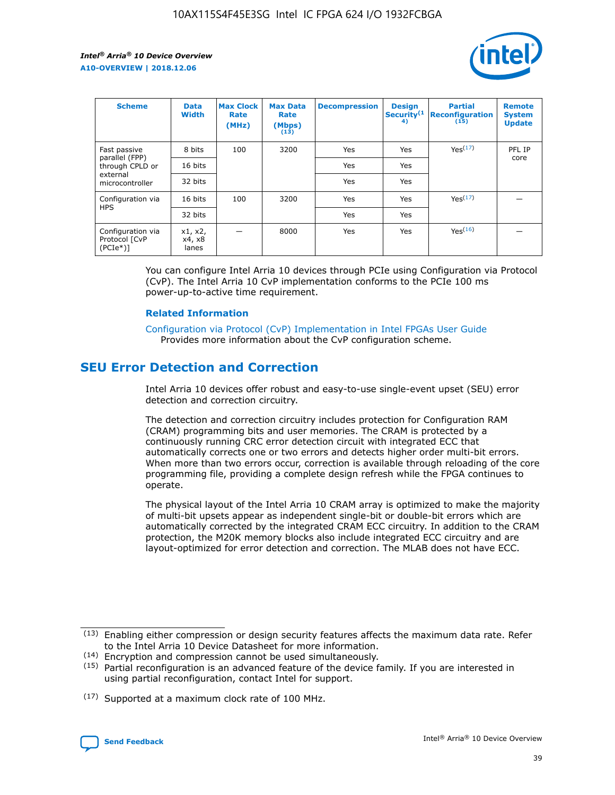

| <b>Scheme</b>                                    | <b>Data</b><br><b>Width</b> | <b>Max Clock</b><br>Rate<br>(MHz) | <b>Max Data</b><br>Rate<br>(Mbps)<br>(13) | <b>Decompression</b> | <b>Design</b><br>Security <sup>(1</sup><br>4) | <b>Partial</b><br><b>Reconfiguration</b><br>(15) | <b>Remote</b><br><b>System</b><br><b>Update</b> |
|--------------------------------------------------|-----------------------------|-----------------------------------|-------------------------------------------|----------------------|-----------------------------------------------|--------------------------------------------------|-------------------------------------------------|
| Fast passive                                     | 8 bits                      | 100                               | 3200                                      | Yes                  | Yes                                           | Yes <sup>(17)</sup>                              | PFL IP                                          |
| parallel (FPP)<br>through CPLD or                | 16 bits                     |                                   |                                           | Yes                  | Yes                                           |                                                  | core                                            |
| external<br>microcontroller                      | 32 bits                     |                                   |                                           | Yes                  | Yes                                           |                                                  |                                                 |
| Configuration via                                | 16 bits                     | 100                               | 3200                                      | Yes                  | Yes                                           | Yes <sup>(17)</sup>                              |                                                 |
| <b>HPS</b>                                       | 32 bits                     |                                   |                                           | Yes                  | Yes                                           |                                                  |                                                 |
| Configuration via<br>Protocol [CvP<br>$(PCIe^*)$ | x1, x2,<br>x4, x8<br>lanes  |                                   | 8000                                      | Yes                  | Yes                                           | Yes(16)                                          |                                                 |

You can configure Intel Arria 10 devices through PCIe using Configuration via Protocol (CvP). The Intel Arria 10 CvP implementation conforms to the PCIe 100 ms power-up-to-active time requirement.

#### **Related Information**

[Configuration via Protocol \(CvP\) Implementation in Intel FPGAs User Guide](https://www.intel.com/content/www/us/en/programmable/documentation/dsu1441819344145.html#dsu1442269728522) Provides more information about the CvP configuration scheme.

## **SEU Error Detection and Correction**

Intel Arria 10 devices offer robust and easy-to-use single-event upset (SEU) error detection and correction circuitry.

The detection and correction circuitry includes protection for Configuration RAM (CRAM) programming bits and user memories. The CRAM is protected by a continuously running CRC error detection circuit with integrated ECC that automatically corrects one or two errors and detects higher order multi-bit errors. When more than two errors occur, correction is available through reloading of the core programming file, providing a complete design refresh while the FPGA continues to operate.

The physical layout of the Intel Arria 10 CRAM array is optimized to make the majority of multi-bit upsets appear as independent single-bit or double-bit errors which are automatically corrected by the integrated CRAM ECC circuitry. In addition to the CRAM protection, the M20K memory blocks also include integrated ECC circuitry and are layout-optimized for error detection and correction. The MLAB does not have ECC.

(14) Encryption and compression cannot be used simultaneously.

<sup>(17)</sup> Supported at a maximum clock rate of 100 MHz.



 $(13)$  Enabling either compression or design security features affects the maximum data rate. Refer to the Intel Arria 10 Device Datasheet for more information.

 $(15)$  Partial reconfiguration is an advanced feature of the device family. If you are interested in using partial reconfiguration, contact Intel for support.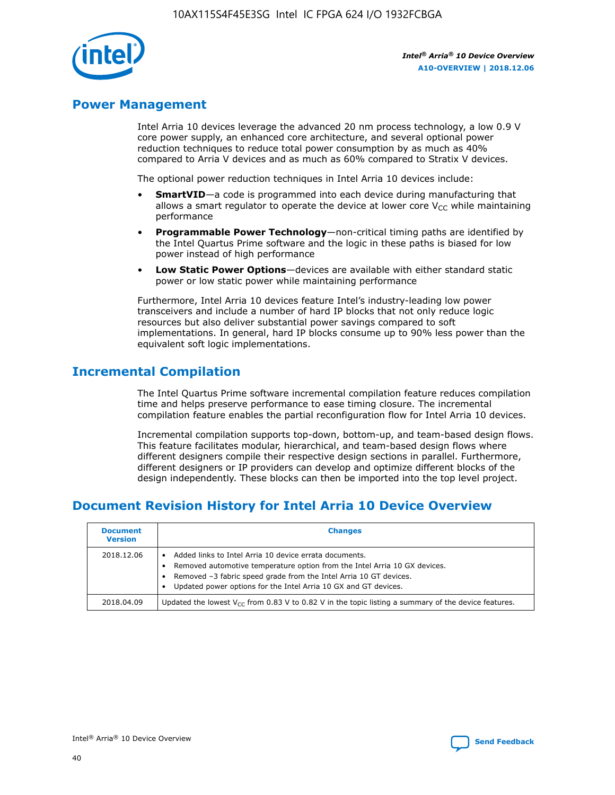

## **Power Management**

Intel Arria 10 devices leverage the advanced 20 nm process technology, a low 0.9 V core power supply, an enhanced core architecture, and several optional power reduction techniques to reduce total power consumption by as much as 40% compared to Arria V devices and as much as 60% compared to Stratix V devices.

The optional power reduction techniques in Intel Arria 10 devices include:

- **SmartVID**—a code is programmed into each device during manufacturing that allows a smart regulator to operate the device at lower core  $V_{CC}$  while maintaining performance
- **Programmable Power Technology**—non-critical timing paths are identified by the Intel Quartus Prime software and the logic in these paths is biased for low power instead of high performance
- **Low Static Power Options**—devices are available with either standard static power or low static power while maintaining performance

Furthermore, Intel Arria 10 devices feature Intel's industry-leading low power transceivers and include a number of hard IP blocks that not only reduce logic resources but also deliver substantial power savings compared to soft implementations. In general, hard IP blocks consume up to 90% less power than the equivalent soft logic implementations.

## **Incremental Compilation**

The Intel Quartus Prime software incremental compilation feature reduces compilation time and helps preserve performance to ease timing closure. The incremental compilation feature enables the partial reconfiguration flow for Intel Arria 10 devices.

Incremental compilation supports top-down, bottom-up, and team-based design flows. This feature facilitates modular, hierarchical, and team-based design flows where different designers compile their respective design sections in parallel. Furthermore, different designers or IP providers can develop and optimize different blocks of the design independently. These blocks can then be imported into the top level project.

## **Document Revision History for Intel Arria 10 Device Overview**

| <b>Document</b><br><b>Version</b> | <b>Changes</b>                                                                                                                                                                                                                                                              |
|-----------------------------------|-----------------------------------------------------------------------------------------------------------------------------------------------------------------------------------------------------------------------------------------------------------------------------|
| 2018.12.06                        | Added links to Intel Arria 10 device errata documents.<br>Removed automotive temperature option from the Intel Arria 10 GX devices.<br>Removed -3 fabric speed grade from the Intel Arria 10 GT devices.<br>Updated power options for the Intel Arria 10 GX and GT devices. |
| 2018.04.09                        | Updated the lowest $V_{CC}$ from 0.83 V to 0.82 V in the topic listing a summary of the device features.                                                                                                                                                                    |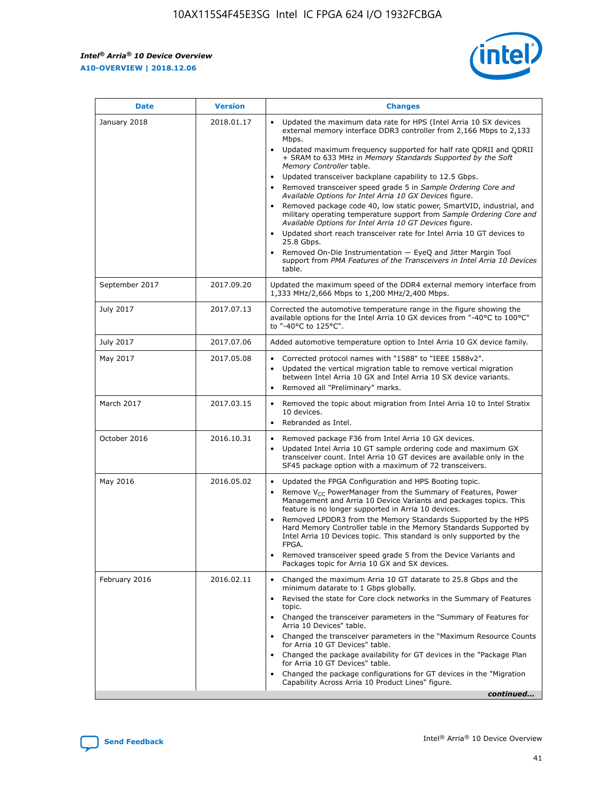$\mathsf{r}$ 



| January 2018<br>Updated the maximum data rate for HPS (Intel Arria 10 SX devices<br>2018.01.17<br>external memory interface DDR3 controller from 2,166 Mbps to 2,133<br>Mbps.<br>$\bullet$<br>+ SRAM to 633 MHz in Memory Standards Supported by the Soft<br>Memory Controller table.<br>Updated transceiver backplane capability to 12.5 Gbps.<br>$\bullet$<br>Removed transceiver speed grade 5 in Sample Ordering Core and<br>Available Options for Intel Arria 10 GX Devices figure.<br>Available Options for Intel Arria 10 GT Devices figure.<br>Updated short reach transceiver rate for Intel Arria 10 GT devices to<br>$\bullet$<br>25.8 Gbps.<br>Removed On-Die Instrumentation - EyeQ and Jitter Margin Tool<br>table.<br>2017.09.20<br>September 2017<br>1,333 MHz/2,666 Mbps to 1,200 MHz/2,400 Mbps.<br>July 2017<br>2017.07.13<br>Corrected the automotive temperature range in the figure showing the<br>available options for the Intel Arria 10 GX devices from "-40°C to 100°C"<br>to "-40°C to 125°C".<br>July 2017<br>2017.07.06<br>Added automotive temperature option to Intel Arria 10 GX device family.<br>2017.05.08<br>Corrected protocol names with "1588" to "IEEE 1588v2".<br>May 2017<br>$\bullet$<br>Updated the vertical migration table to remove vertical migration<br>$\bullet$<br>between Intel Arria 10 GX and Intel Arria 10 SX device variants.<br>Removed all "Preliminary" marks.<br>2017.03.15<br>March 2017<br>Removed the topic about migration from Intel Arria 10 to Intel Stratix<br>10 devices.<br>Rebranded as Intel.<br>$\bullet$<br>October 2016<br>2016.10.31<br>Removed package F36 from Intel Arria 10 GX devices.<br>$\bullet$<br>Updated Intel Arria 10 GT sample ordering code and maximum GX<br>$\bullet$<br>transceiver count. Intel Arria 10 GT devices are available only in the<br>SF45 package option with a maximum of 72 transceivers.<br>May 2016<br>2016.05.02<br>Updated the FPGA Configuration and HPS Booting topic.<br>Remove $V_{CC}$ PowerManager from the Summary of Features, Power<br>Management and Arria 10 Device Variants and packages topics. This<br>feature is no longer supported in Arria 10 devices.<br>Removed LPDDR3 from the Memory Standards Supported by the HPS<br>Hard Memory Controller table in the Memory Standards Supported by<br>Intel Arria 10 Devices topic. This standard is only supported by the<br>FPGA.<br>Removed transceiver speed grade 5 from the Device Variants and<br>Packages topic for Arria 10 GX and SX devices.<br>Changed the maximum Arria 10 GT datarate to 25.8 Gbps and the<br>February 2016<br>2016.02.11<br>minimum datarate to 1 Gbps globally.<br>Revised the state for Core clock networks in the Summary of Features<br>$\bullet$<br>topic.<br>• Changed the transceiver parameters in the "Summary of Features for<br>Arria 10 Devices" table.<br>for Arria 10 GT Devices" table.<br>• Changed the package availability for GT devices in the "Package Plan<br>for Arria 10 GT Devices" table.<br>Changed the package configurations for GT devices in the "Migration"<br>Capability Across Arria 10 Product Lines" figure. | <b>Date</b> | <b>Version</b> | <b>Changes</b>                                                                                                                                                                                                                                                                               |
|----------------------------------------------------------------------------------------------------------------------------------------------------------------------------------------------------------------------------------------------------------------------------------------------------------------------------------------------------------------------------------------------------------------------------------------------------------------------------------------------------------------------------------------------------------------------------------------------------------------------------------------------------------------------------------------------------------------------------------------------------------------------------------------------------------------------------------------------------------------------------------------------------------------------------------------------------------------------------------------------------------------------------------------------------------------------------------------------------------------------------------------------------------------------------------------------------------------------------------------------------------------------------------------------------------------------------------------------------------------------------------------------------------------------------------------------------------------------------------------------------------------------------------------------------------------------------------------------------------------------------------------------------------------------------------------------------------------------------------------------------------------------------------------------------------------------------------------------------------------------------------------------------------------------------------------------------------------------------------------------------------------------------------------------------------------------------------------------------------------------------------------------------------------------------------------------------------------------------------------------------------------------------------------------------------------------------------------------------------------------------------------------------------------------------------------------------------------------------------------------------------------------------------------------------------------------------------------------------------------------------------------------------------------------------------------------------------------------------------------------------------------------------------------------------------------------------------------------------------------------------------------------------------------------------------------------------------------------------------------------------------------------------------------------------------------------------------------------------------------------------------------------------------------|-------------|----------------|----------------------------------------------------------------------------------------------------------------------------------------------------------------------------------------------------------------------------------------------------------------------------------------------|
|                                                                                                                                                                                                                                                                                                                                                                                                                                                                                                                                                                                                                                                                                                                                                                                                                                                                                                                                                                                                                                                                                                                                                                                                                                                                                                                                                                                                                                                                                                                                                                                                                                                                                                                                                                                                                                                                                                                                                                                                                                                                                                                                                                                                                                                                                                                                                                                                                                                                                                                                                                                                                                                                                                                                                                                                                                                                                                                                                                                                                                                                                                                                                                |             |                | Updated maximum frequency supported for half rate QDRII and QDRII<br>Removed package code 40, low static power, SmartVID, industrial, and<br>military operating temperature support from Sample Ordering Core and<br>support from PMA Features of the Transceivers in Intel Arria 10 Devices |
|                                                                                                                                                                                                                                                                                                                                                                                                                                                                                                                                                                                                                                                                                                                                                                                                                                                                                                                                                                                                                                                                                                                                                                                                                                                                                                                                                                                                                                                                                                                                                                                                                                                                                                                                                                                                                                                                                                                                                                                                                                                                                                                                                                                                                                                                                                                                                                                                                                                                                                                                                                                                                                                                                                                                                                                                                                                                                                                                                                                                                                                                                                                                                                |             |                | Updated the maximum speed of the DDR4 external memory interface from                                                                                                                                                                                                                         |
|                                                                                                                                                                                                                                                                                                                                                                                                                                                                                                                                                                                                                                                                                                                                                                                                                                                                                                                                                                                                                                                                                                                                                                                                                                                                                                                                                                                                                                                                                                                                                                                                                                                                                                                                                                                                                                                                                                                                                                                                                                                                                                                                                                                                                                                                                                                                                                                                                                                                                                                                                                                                                                                                                                                                                                                                                                                                                                                                                                                                                                                                                                                                                                |             |                |                                                                                                                                                                                                                                                                                              |
|                                                                                                                                                                                                                                                                                                                                                                                                                                                                                                                                                                                                                                                                                                                                                                                                                                                                                                                                                                                                                                                                                                                                                                                                                                                                                                                                                                                                                                                                                                                                                                                                                                                                                                                                                                                                                                                                                                                                                                                                                                                                                                                                                                                                                                                                                                                                                                                                                                                                                                                                                                                                                                                                                                                                                                                                                                                                                                                                                                                                                                                                                                                                                                |             |                |                                                                                                                                                                                                                                                                                              |
|                                                                                                                                                                                                                                                                                                                                                                                                                                                                                                                                                                                                                                                                                                                                                                                                                                                                                                                                                                                                                                                                                                                                                                                                                                                                                                                                                                                                                                                                                                                                                                                                                                                                                                                                                                                                                                                                                                                                                                                                                                                                                                                                                                                                                                                                                                                                                                                                                                                                                                                                                                                                                                                                                                                                                                                                                                                                                                                                                                                                                                                                                                                                                                |             |                |                                                                                                                                                                                                                                                                                              |
|                                                                                                                                                                                                                                                                                                                                                                                                                                                                                                                                                                                                                                                                                                                                                                                                                                                                                                                                                                                                                                                                                                                                                                                                                                                                                                                                                                                                                                                                                                                                                                                                                                                                                                                                                                                                                                                                                                                                                                                                                                                                                                                                                                                                                                                                                                                                                                                                                                                                                                                                                                                                                                                                                                                                                                                                                                                                                                                                                                                                                                                                                                                                                                |             |                |                                                                                                                                                                                                                                                                                              |
|                                                                                                                                                                                                                                                                                                                                                                                                                                                                                                                                                                                                                                                                                                                                                                                                                                                                                                                                                                                                                                                                                                                                                                                                                                                                                                                                                                                                                                                                                                                                                                                                                                                                                                                                                                                                                                                                                                                                                                                                                                                                                                                                                                                                                                                                                                                                                                                                                                                                                                                                                                                                                                                                                                                                                                                                                                                                                                                                                                                                                                                                                                                                                                |             |                |                                                                                                                                                                                                                                                                                              |
|                                                                                                                                                                                                                                                                                                                                                                                                                                                                                                                                                                                                                                                                                                                                                                                                                                                                                                                                                                                                                                                                                                                                                                                                                                                                                                                                                                                                                                                                                                                                                                                                                                                                                                                                                                                                                                                                                                                                                                                                                                                                                                                                                                                                                                                                                                                                                                                                                                                                                                                                                                                                                                                                                                                                                                                                                                                                                                                                                                                                                                                                                                                                                                |             |                |                                                                                                                                                                                                                                                                                              |
|                                                                                                                                                                                                                                                                                                                                                                                                                                                                                                                                                                                                                                                                                                                                                                                                                                                                                                                                                                                                                                                                                                                                                                                                                                                                                                                                                                                                                                                                                                                                                                                                                                                                                                                                                                                                                                                                                                                                                                                                                                                                                                                                                                                                                                                                                                                                                                                                                                                                                                                                                                                                                                                                                                                                                                                                                                                                                                                                                                                                                                                                                                                                                                |             |                | Changed the transceiver parameters in the "Maximum Resource Counts"<br>continued                                                                                                                                                                                                             |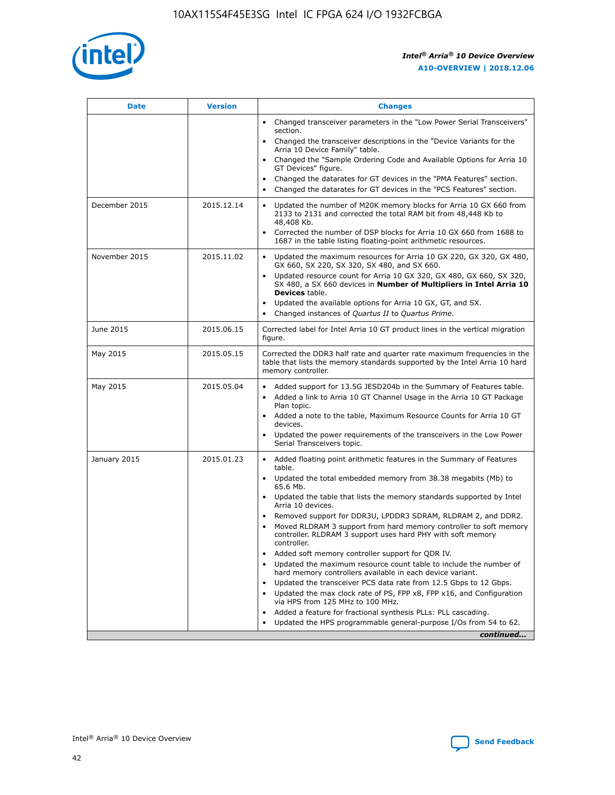

| <b>Date</b>   | <b>Version</b> | <b>Changes</b>                                                                                                                                                               |
|---------------|----------------|------------------------------------------------------------------------------------------------------------------------------------------------------------------------------|
|               |                | • Changed transceiver parameters in the "Low Power Serial Transceivers"<br>section.                                                                                          |
|               |                | • Changed the transceiver descriptions in the "Device Variants for the<br>Arria 10 Device Family" table.                                                                     |
|               |                | Changed the "Sample Ordering Code and Available Options for Arria 10<br>$\bullet$<br>GT Devices" figure.                                                                     |
|               |                | Changed the datarates for GT devices in the "PMA Features" section.                                                                                                          |
|               |                | Changed the datarates for GT devices in the "PCS Features" section.<br>$\bullet$                                                                                             |
| December 2015 | 2015.12.14     | Updated the number of M20K memory blocks for Arria 10 GX 660 from<br>2133 to 2131 and corrected the total RAM bit from 48,448 Kb to<br>48,408 Kb.                            |
|               |                | Corrected the number of DSP blocks for Arria 10 GX 660 from 1688 to<br>1687 in the table listing floating-point arithmetic resources.                                        |
| November 2015 | 2015.11.02     | Updated the maximum resources for Arria 10 GX 220, GX 320, GX 480,<br>$\bullet$<br>GX 660, SX 220, SX 320, SX 480, and SX 660.                                               |
|               |                | • Updated resource count for Arria 10 GX 320, GX 480, GX 660, SX 320,<br>SX 480, a SX 660 devices in Number of Multipliers in Intel Arria 10<br><b>Devices</b> table.        |
|               |                | Updated the available options for Arria 10 GX, GT, and SX.                                                                                                                   |
|               |                | Changed instances of Quartus II to Quartus Prime.<br>$\bullet$                                                                                                               |
| June 2015     | 2015.06.15     | Corrected label for Intel Arria 10 GT product lines in the vertical migration<br>figure.                                                                                     |
| May 2015      | 2015.05.15     | Corrected the DDR3 half rate and quarter rate maximum frequencies in the<br>table that lists the memory standards supported by the Intel Arria 10 hard<br>memory controller. |
| May 2015      | 2015.05.04     | • Added support for 13.5G JESD204b in the Summary of Features table.<br>• Added a link to Arria 10 GT Channel Usage in the Arria 10 GT Package<br>Plan topic.                |
|               |                | • Added a note to the table, Maximum Resource Counts for Arria 10 GT<br>devices.                                                                                             |
|               |                | • Updated the power requirements of the transceivers in the Low Power<br>Serial Transceivers topic.                                                                          |
| January 2015  | 2015.01.23     | • Added floating point arithmetic features in the Summary of Features<br>table.                                                                                              |
|               |                | • Updated the total embedded memory from 38.38 megabits (Mb) to<br>65.6 Mb.                                                                                                  |
|               |                | • Updated the table that lists the memory standards supported by Intel<br>Arria 10 devices.                                                                                  |
|               |                | Removed support for DDR3U, LPDDR3 SDRAM, RLDRAM 2, and DDR2.                                                                                                                 |
|               |                | Moved RLDRAM 3 support from hard memory controller to soft memory<br>controller. RLDRAM 3 support uses hard PHY with soft memory<br>controller.                              |
|               |                | Added soft memory controller support for QDR IV.<br>٠                                                                                                                        |
|               |                | Updated the maximum resource count table to include the number of<br>hard memory controllers available in each device variant.                                               |
|               |                | Updated the transceiver PCS data rate from 12.5 Gbps to 12 Gbps.<br>$\bullet$                                                                                                |
|               |                | Updated the max clock rate of PS, FPP x8, FPP x16, and Configuration<br>via HPS from 125 MHz to 100 MHz.                                                                     |
|               |                | Added a feature for fractional synthesis PLLs: PLL cascading.                                                                                                                |
|               |                | Updated the HPS programmable general-purpose I/Os from 54 to 62.<br>$\bullet$<br>continued                                                                                   |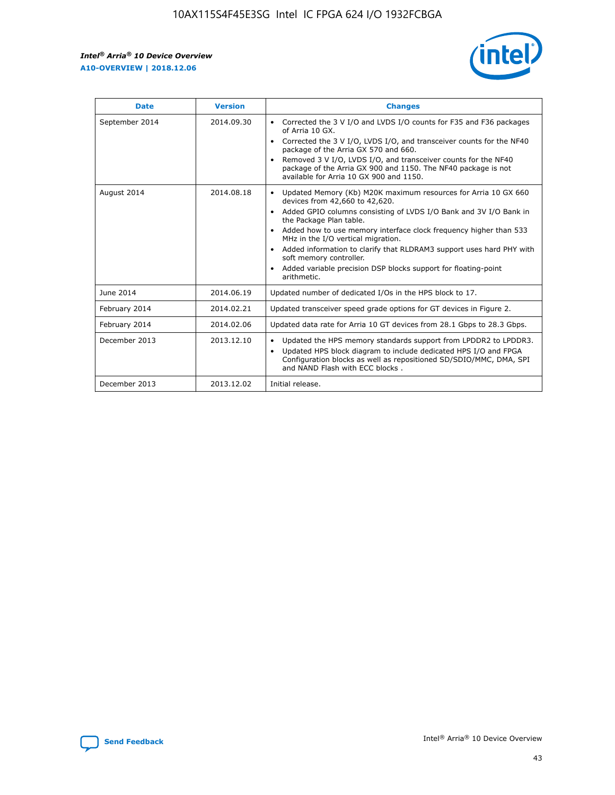r



| <b>Date</b>    | <b>Version</b> | <b>Changes</b>                                                                                                                                                                                                                                                                                                                                                                                                                                                                                                                                      |
|----------------|----------------|-----------------------------------------------------------------------------------------------------------------------------------------------------------------------------------------------------------------------------------------------------------------------------------------------------------------------------------------------------------------------------------------------------------------------------------------------------------------------------------------------------------------------------------------------------|
| September 2014 | 2014.09.30     | Corrected the 3 V I/O and LVDS I/O counts for F35 and F36 packages<br>$\bullet$<br>of Arria 10 GX.<br>Corrected the 3 V I/O, LVDS I/O, and transceiver counts for the NF40<br>$\bullet$<br>package of the Arria GX 570 and 660.<br>Removed 3 V I/O, LVDS I/O, and transceiver counts for the NF40<br>package of the Arria GX 900 and 1150. The NF40 package is not<br>available for Arria 10 GX 900 and 1150.                                                                                                                                       |
| August 2014    | 2014.08.18     | Updated Memory (Kb) M20K maximum resources for Arria 10 GX 660<br>devices from 42,660 to 42,620.<br>Added GPIO columns consisting of LVDS I/O Bank and 3V I/O Bank in<br>$\bullet$<br>the Package Plan table.<br>Added how to use memory interface clock frequency higher than 533<br>$\bullet$<br>MHz in the I/O vertical migration.<br>Added information to clarify that RLDRAM3 support uses hard PHY with<br>$\bullet$<br>soft memory controller.<br>Added variable precision DSP blocks support for floating-point<br>$\bullet$<br>arithmetic. |
| June 2014      | 2014.06.19     | Updated number of dedicated I/Os in the HPS block to 17.                                                                                                                                                                                                                                                                                                                                                                                                                                                                                            |
| February 2014  | 2014.02.21     | Updated transceiver speed grade options for GT devices in Figure 2.                                                                                                                                                                                                                                                                                                                                                                                                                                                                                 |
| February 2014  | 2014.02.06     | Updated data rate for Arria 10 GT devices from 28.1 Gbps to 28.3 Gbps.                                                                                                                                                                                                                                                                                                                                                                                                                                                                              |
| December 2013  | 2013.12.10     | Updated the HPS memory standards support from LPDDR2 to LPDDR3.<br>Updated HPS block diagram to include dedicated HPS I/O and FPGA<br>$\bullet$<br>Configuration blocks as well as repositioned SD/SDIO/MMC, DMA, SPI<br>and NAND Flash with ECC blocks.                                                                                                                                                                                                                                                                                            |
| December 2013  | 2013.12.02     | Initial release.                                                                                                                                                                                                                                                                                                                                                                                                                                                                                                                                    |